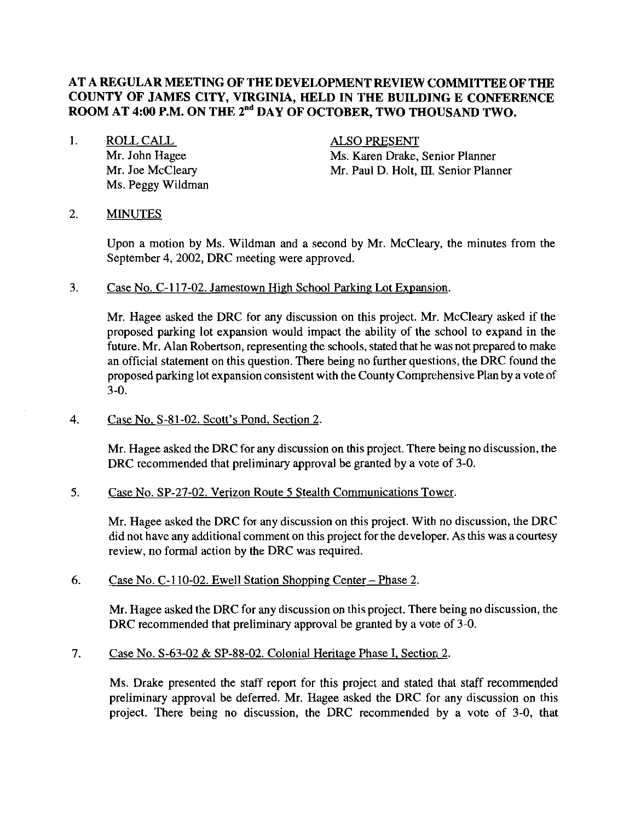## **AT A REGULAR MEETING OF THE DEVELOPMENT REVIEW COMMITTEE OF THE COUNTY OF JAMES CITY, VIRGINIA, HELD IN THE BUILDING E CONFERENCE**  ROOM AT 4:00 P.M. ON THE 2<sup>nd</sup> DAY OF OCTOBER, TWO THOUSAND TWO.

1. ROLL CALL Mr. John Hagee Mr. Joe McCleary Ms. Peggy Wildman

ALSO PRESENT Ms. Karen Drake, Senior Planner Mr. Paul D. Holt, **IU.** Senior Planner

#### 2. MINUTES

Upon a motion by Ms. Wildman and a second by Mr. McCleary, the minutes from the September 4,2002, DRC meeting were approved.

3. Case No. C-117-02. Jamestown High School Parking Lot Expansion.

Mr. Hagee asked the DRC for any discussion on this project. Mr. McCleary asked if the proposed parking lot expansion would impact the ability of the school to expand in the future. Mr. Alan Robertson, representing the schools, stated that he was not prepared to make an official statement on this question. There being no further questions, the DRC found the proposed parking lot expansion consistent with the County Comprehensive Plan by a vote of 3-0.

4. Case No. S-81-02. Scott's Pond, Section 2.

Mr. Hagee asked the DRC for any discussion on this project. There being no discussion, the DRC recommended that preliminary approval be granted by a vote of 3-0.

5. Case No. SP-27-02. Verizon Route 5 Stealth Communications Tower.

Mr. Hagee asked the DRC for any discussion on this project. With no discussion, the DRC did not have any additional comment on this project for the developer. As this was acourtesy review, no formal action by the DRC was required.

6.  $\text{Case No. C-110-02. Ewell Station Shopping Center} - \text{Phase 2.}$ 

Mr. Hagee asked the DRC for any discussion on this project. There being no discussion, the DRC recommended that preliminary approval be granted by a vote of 3-0.

7. Case No.  $S-63-02 \& SP-88-02$ . Colonial Heritage Phase I, Section 2.

Ms. Drake presented the staff report for this project and stated that staff recommended preliminary approval be deferred. Mr. Hagee asked the DRC for any discussion on this project. There being no discussion, the DRC recommended by a vote of 3-0, that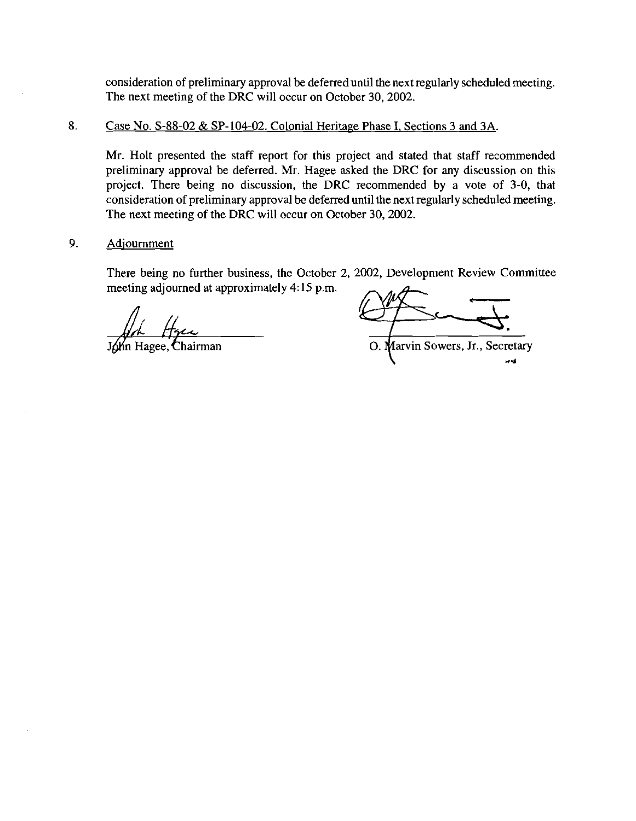consideration of preliminary approval be deferreduntil the next regularly scheduled meeting. The next meeting of the DRC will occur on October 30, 2002.

### 8. Case No. S-88-02 & SP-104-02. Colonial Heritage Phase I, Sections 3 and 3A.

Mr. Holt presented the staff report for this project and stated that staff recommended preliminary approval be deferred. Mr. Hagee asked the DRC for any discussion on this project. There being no discussion, the DRC recommended by a vote of 3-0, that consideration of preliminary approval be deferred until the next regularly scheduled meeting. The next meeting of the DRC will occur on October 30, 2002.

#### 9. Adjournment

There being no further business, the October 2, 2002, Development Review Committee meeting adjourned at approximately 4: 15 p.m.

 $\sqrt{Mn}$  Hagee, Chairman

O. Marvin Sowers, Jr., Secretary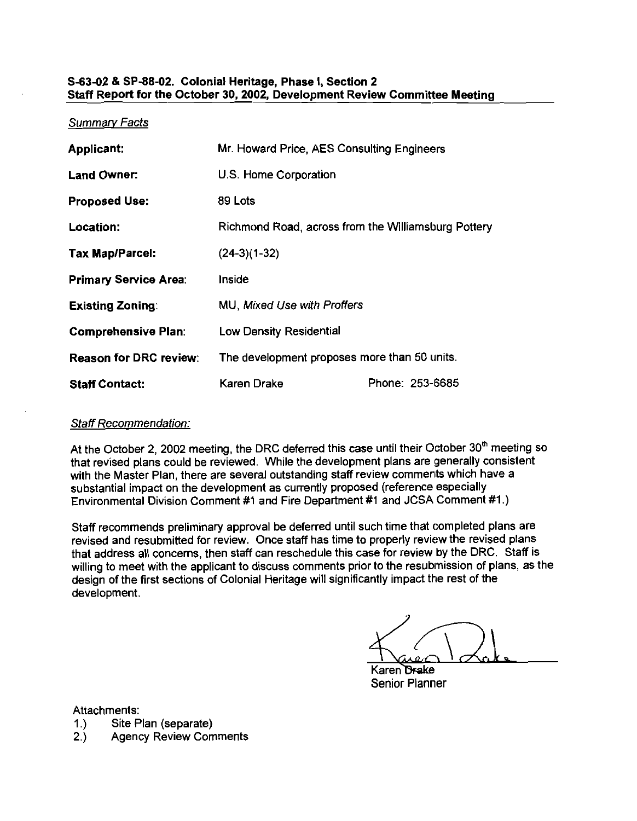#### S-63-02 & SP-88-02. Colonial Heritage, Phase I, Section 2 Staff Report for the October 30,2002, Development Review Committee Meeting

#### Summarv Facts

| <b>Applicant:</b>             | Mr. Howard Price, AES Consulting Engineers          |  |  |
|-------------------------------|-----------------------------------------------------|--|--|
| <b>Land Owner:</b>            | U.S. Home Corporation                               |  |  |
| <b>Proposed Use:</b>          | 89 Lots                                             |  |  |
| Location:                     | Richmond Road, across from the Williamsburg Pottery |  |  |
| <b>Tax Map/Parcel:</b>        | $(24-3)(1-32)$                                      |  |  |
| <b>Primary Service Area:</b>  | Inside                                              |  |  |
| <b>Existing Zoning:</b>       | <b>MU, Mixed Use with Proffers</b>                  |  |  |
| <b>Comprehensive Plan:</b>    | Low Density Residential                             |  |  |
| <b>Reason for DRC review:</b> | The development proposes more than 50 units.        |  |  |
| <b>Staff Contact:</b>         | Phone: 253-6685<br>Karen Drake                      |  |  |

#### Staff Recommendation:

At the October 2, 2002 meeting, the DRC deferred this case until their October 30<sup>th</sup> meeting so that revised plans could be reviewed. While the development plans are generally consistent with the Master Plan, there are several outstanding staff review comments which have a substantial impact on the development as currently proposed (reference especially Environmental Division Comment #I and Fire Department #I and JCSA Comment #I.)

Staff recommends preliminary approval be deferred until such time that completed plans are revised and resubmitted for review. Once staff has time to properly review the revised plans that address all concerns, then staff can reschedule this case for review by the DRC. Staff is willing to meet with the applicant to discuss comments prior to the resubmission of plans, as the design of the first sections of Colonial Heritage will significantly impact the rest of the development.

Karen <del>Dra</del>ke Senior Planner

Attachments:

- 1.) Site Plan (separate)
- 2.) Agency Review Comments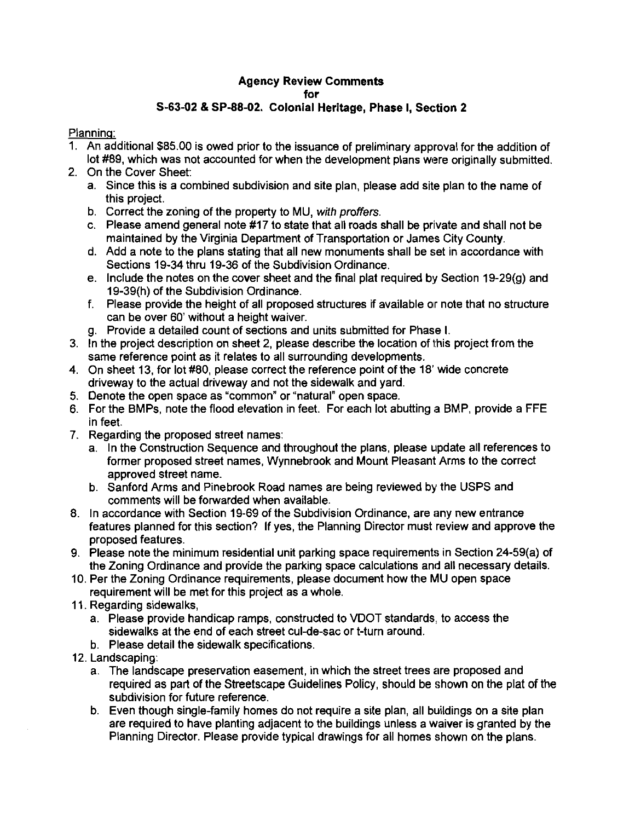#### Agency Review Comments for S-63-02 *8* SP-88-02. Colonial Heritage, Phase I, Section 2

#### Planning:

- 1. An additional \$85.00 is owed prior to the issuance of preliminary approval for the addition of lot #89, which was not accounted for when the development plans were originally submitted.
- 2. On the Cover Sheet:
	- a. Since this is a combined subdivision and site plan, please add site plan to the name of this project.
	- b. Correct the zoning of the property to MU, with proffers.
	- c. Please amend general note #17 to state that all roads shall be private and shall not be maintained by the Virginia Department of Transportation or James City County.
	- d. Add a note to the plans stating that all new monuments shall be set in accordance with Sections 19-34 thru 19-36 of the Subdivision Ordinance.
	- e. Include the notes on the cover sheet and the final plat required by Section 19-29(g) and 19-39(h) of the Subdivision Ordinance.
	- f. Please provide the height of all proposed structures if available or note that no structure can be over 60' without a height waiver.
	- g. Provide a detailed count of sections and units submitted for Phase I.
- 3. In the project description on sheet 2, please describe the location of this project from the same reference point as it relates to all surrounding developments.
- 4. On sheet 13, for lot #80, please correct the reference point of the 18' wide concrete driveway to the actual driveway and not the sidewalk and yard.
- 5. Denote the open space as "common" or "natural" open space.
- 6. For the BMPs, note the flood elevation in feet. For each lot abutting a BMP, provide a FFE in feet.
- 7. Regarding the proposed street names:
	- a. In the Construction Sequence and throughout the plans, please update all references to former proposed street names, Wynnebrook and Mount Pleasant Arms to the correct approved street name.
	- b. Sanford Arms and Pinebrook Road names are being reviewed by the USPS and comments will be forwarded when available.
- 8. In accordance with Section 19-69 of the Subdivision Ordinance, are any new entrance features planned for this section? If yes, the Planning Director must review and approve the proposed features.
- 9. Please note the minimum residential unit parking space requirements in Section 24-59(a) of the Zoning Ordinance and provide the parking space calculations and all necessary details.
- 10. Per the Zoning Ordinance requirements, please document how the MU open space requirement will be met for this project as a whole.
- 11. Regarding sidewalks,
	- a. Please provide handicap ramps, constructed to VDOT standards, to access the sidewalks at the end of each street cul-de-sac or t-turn around.
	- b. Please detail the sidewalk specifications.
- 12. Landscaping:
	- a. The landscape preservation easement, in which the street trees are proposed and required as part of the Streetscape Guidelines Policy, should be shown on the plat of the subdivision for future reference.
	- b. Even though single-family homes do not require a site plan, all buildings on a site plan are required to have planting adjacent to the buildings unless a waiver is granted by the Planning Director. Please provide typical drawings for all homes shown on the plans.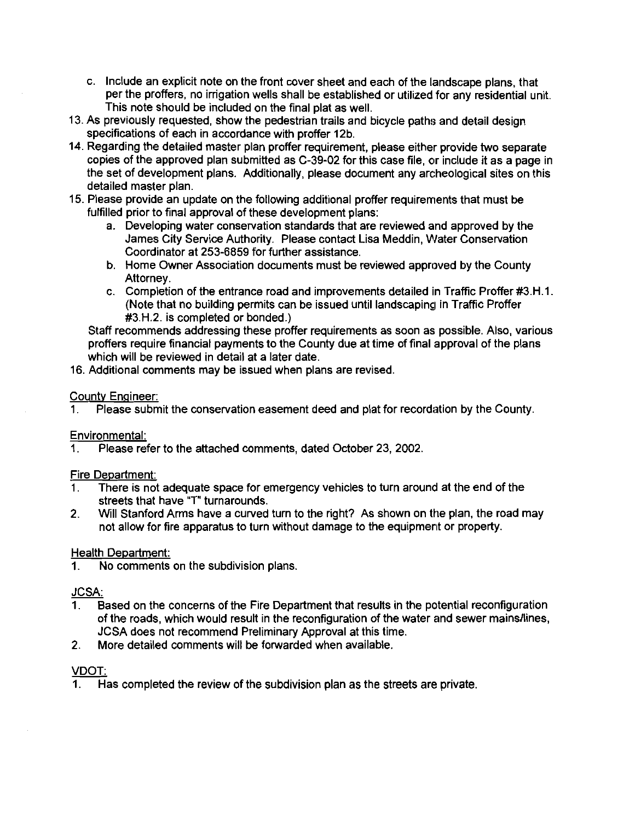- c. Include an explicit note on the front cover sheet and each of the landscape plans, that per the proffers, no irrigation wells shall be established or utilized for any residential unit. This note should be included on the final plat as well.
- 13. As previously requested, show the pedestrian trails and bicycle paths and detail design specifications of each in accordance with proffer 12b.
- 14. Regarding the detailed master plan proffer requirement, please either provide two separate copies of the approved plan submitted as C-39-02 for this case file, or include it as a Daae in the set of development plans. Additionally, please document any archeological sites on this detailed master plan.
- 15. Please provide an update on the following additional proffer requirements that must be fulfilled prior to final approval of these development plans:
	- a. Developing water conservation standards that are reviewed and approved by the James City Service Authority. Please contact Lisa Meddin, Water Conservation Coordinator at 253-6859 for further assistance.
	- b. Home Owner Association documents must be reviewed approved by the County Attorney.
	- c. Completion of the entrance road and improvements detailed in Traffic Proffer #3.H.1. (Note that no building permits can be issued until landscaping in Traffic Proffer #3.H.2. is completed or bonded.)

Staff recommends addressing these proffer requirements as soon as possible. Also, various proffers require financial payments to the County due at time of final approval of the plans which will be reviewed in detail at a later date.

16. Additional comments may be issued when plans are revised.

#### Countv Enaineer:

1. Please submit the conservation easement deed and plat for recordation by the County.

#### Environmental:

1. Please refer to the attached comments, dated October 23, 2002.

#### Fire Department:

- 1. There is not adequate space for emergency vehicles to turn around at the end of the streets that have "T" turnarounds.
- 2. Will Stanford Arms have a curved turn to the right? As shown on the plan, the road may not allow for fire apparatus to turn without damage to the equipment or property.

#### Health Department:

1. No comments on the subdivision plans.

#### **JCSA:**

- 1. Based on the concerns of the Fire Department that results in the potential reconfiguration of the roads, which would result in the reconfiguration of the water and sewer mainsllines, JCSA does not recommend Preliminary Approval at this time.
- 2. More detailed comments will be forwarded when available.

#### VDOT:

1. Has completed the review of the subdivision plan as the streets are private.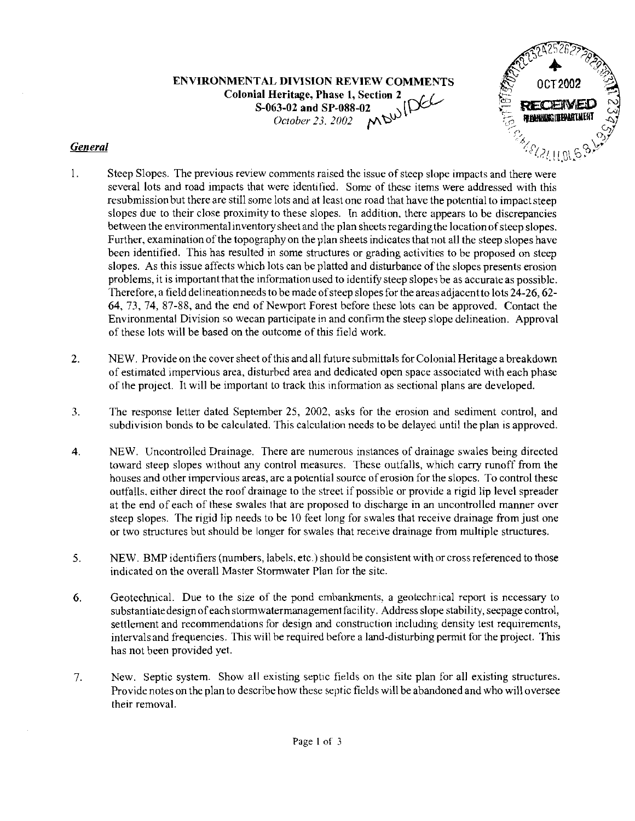ENVIRONMENTAL DIVISION REVIEW COMMENTS

Colonial Heritage, Phase I, Section **2**  S-063-02 and SP-088-02 *October* 23. *2002* 



## *General*

- 1. Steep Slopes. The previous review comments raised the issue of steep slope impacts and there were several lots and road impacts that were identified. Some of these items were addressed with this resubmission but there are still some lots and at least one road that have the potential to impact steep slopes due to their close proximity to these slopes. In addition, there appears to be discrepancies between the environmental inventory sheet and the plan sheets regarding the location of steep slopes. Further, examination of the topography on the plan sheets indicates that not all the steep slopes have been identified. This has resulted in some structures or grading activities to be proposed on steep slopes. As this issue affects which lots can be platted and disturbance of the slopes presents erosion problems, it is important that the informationused to identify steep slopes be as accurate as possible. Therefore, a field delineation needs to be made of steep slopes for the areas adiacent to lots  $24$ -26, 62-64, 73, 74, 87-88, and the end of Newport Forest hefore these lots can be approved. contact the Environmental Division so wecan participate in and confirm the steep slope delineation. Approval of these lots will be based on the outcome of this field work.
- 2. NEW. Provide on the cover sheet of this and all future submittals for Colonial Heritage a breakdown of estimated impervious area, disturbed area and dedicated open space associated with each phase of the project. It will be important to track this information as sectional plans are developed.
- 3. The response letter dated September 25, 2002, asks for the erosion and sediment control, and subdivision bonds to be calculated. This calculation needs to be delayed until the plan is approved.
- 4. NEW. Uncontrolled Drainage. There are numerous instances of drainage swales being directed toward steep slopes without any control measures. These outfalls, which carry runoff from the houses and other impervious areas, are a potential source of erosion for the slopes. To control these outfalls. either direct the roof drainage to the street if possible or provide a rigid lip level spreader at the end of each of these swales that are proposed to discharge in an uncontrolled manner over steep slopes. The rigid lip needs to be 10 feet long for swales that receive drainage from just one or two structures but should be longer for swales that receive drainage from multiple structures.
- 5. NEW. BMP identifiers (numbers, labels, etc.) should be consistent withor cross referenced to those indicated on the overall Master Stormwater Plan for the site.
- 6. Geotechnical. Due to the size of the pond embankments, a geotechnical report is necessary to substantiate design of each stormwater management facility. Address slope stability, seepage control, settlement and recommendations for design and construction including density test requirements, intervals and frequencies. This will be required before a land-disturbing permit for the project. This has not been provided yet.
- 7. New. Septic system. Show all existing septic fields on the site plan for all existing structures. Provide notes on the plan to describe how these septic fields will be abandoned and who will oversee their removal.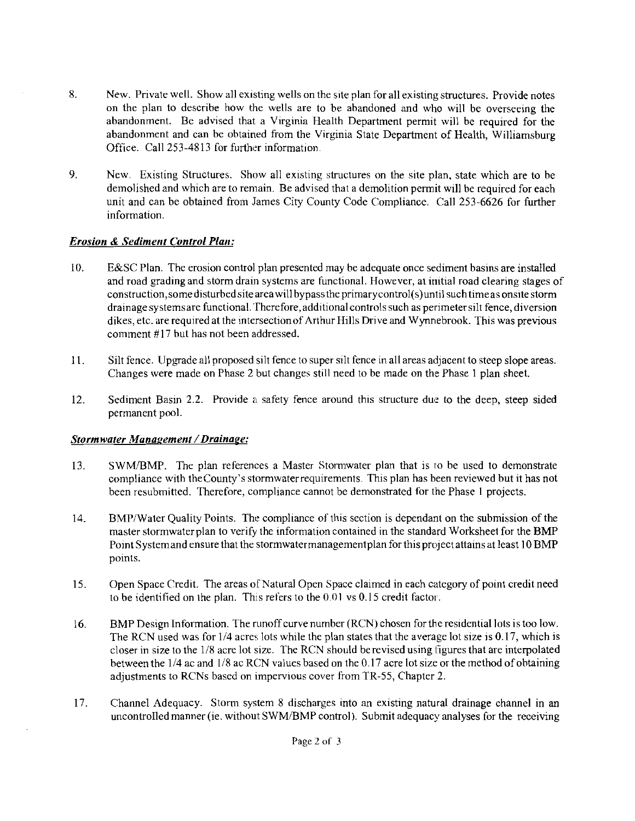- **8.** New. Private well. Show all existing wells on the site plan for all existing structures. Provide notes on the plan to describe how the wells are to be abandoned and who will be overseeing the abandonment. Be advised that a Virginia Health Department permit will he required for the abandonment and can be ohtained from the Virginia State Department of Health, Williamsburg Office. Call 253-4813 for further information.
- 9. New. Existing Structures. Show all existing structures on the site plan, state which are to be demolished and which are to remain. Be advised that a demolition permit will he required for each unit and can be obtained from James City County Code Compliance. Call 253-6626 for further information.

#### *Erosion* & *Sediment Control Plan:*

- 10. E&SC Plan. The erosion control plan presented may be adequate once sediment basins are installed and road grading and storm drain systems are functional. However, at initial road clearing stages of **construction,somedisturbedsite** area willbypass the primarycontrol(s)until suchtimeas onslte storm drainage systemsare functional. 'Therefore,additional controls such as perimeter silt fence, diversion dikes, etc. are required at the intersection of Arthur Hills Drive and Wynnebrook. This was previous comment #17 but has not been addressed.
- 11. Silt fence. Upgrade all proposed silt fence to super silt fence in all areas adjacent to steep slope areas. Changes were made on Phase 2 but changes still need to be made on the Phase 1 plan sheet.
- 12. Sediment Basin 2.2. Provide a safety fence around this structure due to the deep, steep sided permanent pool.

#### **Stormwater Management / Drainage:**

- 13. SWMIBMP. The plan references a Master Stomwater plan that is lo be used to demonstrate compliance with thecounty's stormwaterrequirements. This plan has been reviewed but it has not been resubmitted. Therefore, compliance cannot be demonstrated for the Phase 1 projects.
- 14. BMPlWater Quality Points. The compliance of this section is dependant on the submission of the master stormwaterplan to verify the information contained in the standard Worksheet for the BMP Point Systemand ensure that the stormwatermanagementplan for this project attains at least 10 BMP points.
- 15. Open Space Credit. The areas of Natural Open Space claimed in each category of point credit need to be identified on the plan. This refers to the  $0.01$  vs  $0.15$  credit factor.
- 16. BMP Design Information. The runoff curve number (RCN) chosen for the residential lots is too low. The RCN used was for  $1/4$  acres lots while the plan states that the average lot size is 0.17, which is closer in size to the 118 acre lot size. The RCN should berevised using figures that are interpolated between the 1/4 ac and 1/8 ac RCN values based on the 0.17 acre lot size or the method of obtaining adjustments to RCNs based on impervious cover from TR-55, Chapter 2.
- 17. Channel Adequacy. Storm system 8 discharges into an existing naturaI drainage channel in an uncontrolled manner (ie. without SWM/BMP control). Submit adequacy analyses for the receiving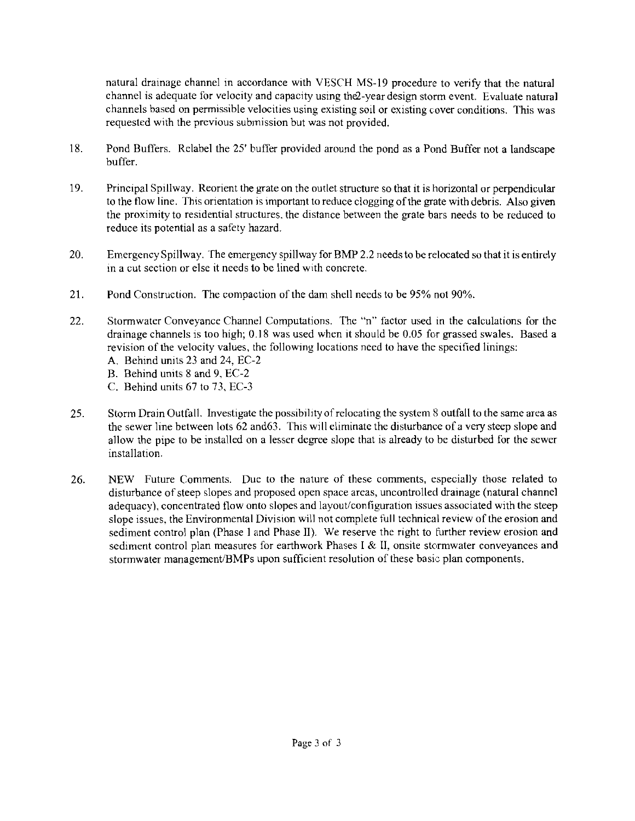natural drainage channel in accordance with VESCH MS-19 procedure to verify that the natural channel is adequate for velocity and capacity using the 2-year design storm event. Evaluate natural channels based on permissible velocities using existing soil or existing cover conditions. This was requested with the previous submission but was not provided.

- 18. Pond Buffers. Relabel the 25' buffer provided around the pond as a Pond Buffer not a landscape buffer.
- 19. Principal Spillway. Reorient the grate on the outlet structure so that it is horizontal or perpendicular to the flow line. This orientation is important to reduce clogging of the grate with debris. Also given the proximity to residential structures, the distance between the grate bars needs to be reduced to reduce its potential as a safety hazard.
- 20. Emergency Spillway. The emergency spillway for BMP 2.2 needs to be relocated so that it is entirely in a cut section or else it needs to be lined with concrete.
- 21. Pond Construction. The compaction of'the dam shell needs to be 95% not 90%.
- 22. Stormwater Conveyance Channel Computations. The "n" factor used in the calculations for the drainage channels is too high; 0.18 was used when it should be 0.05 for grassed swales. Based a revision of the velocity values, the following locations need to have the specified linings:
	- A. Behind units 23 and 24, EC-2
	- B. Behind units 8 and 9, EC-2
	- C. Behind units 67 to 73. EC-3
- 25. Storm Drain Outfall. Investigate the possibility of relocating the system 8 outfall to the same area as the sewer line between lots 62 and 63. This will eliminate the disturbance of a very steep slope and allow the pipe to be installed on a lesser degree slope that is already to be disturbed for the sewer installation.
- 26. NEW Future Comments. Due to the nature of these comments, especially those related to disturbance of steep slopes and proposed open space areas, uncontrolled drainage (natural channel adequacy), concentrated flow onto slopes and layout/configuration issues associated with the steep slope issues, the Environmental Division will not complete full technical review of the erosion and sediment control plan (Phase 1 and Phase II). We reserve the right to further review erosion and sediment control plan measures for earthwork Phases I & II, onsite stormwater conveyances and stormwater management/BMPs upon sufficient resolution of these basic plan components.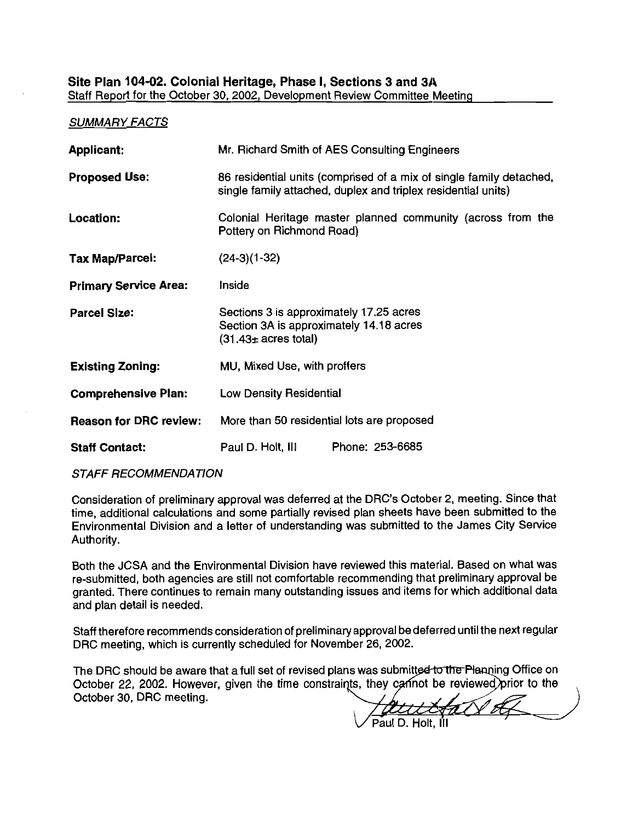#### Site Plan 104-02. Colonial Heritage, Phase I, Sections 3 and 3A Staff Report for the October **30, 2002,** Development Review Committee Meeting

#### **SUMMARY FACTS**

| <b>Applicant:</b>             | Mr. Richard Smith of AES Consulting Engineers                                                                                        |  |
|-------------------------------|--------------------------------------------------------------------------------------------------------------------------------------|--|
| <b>Proposed Use:</b>          | 86 residential units (comprised of a mix of single family detached,<br>single family attached, duplex and triplex residential units) |  |
| Location:                     | Colonial Heritage master planned community (across from the<br>Pottery on Richmond Road)                                             |  |
| Tax Map/Parcel:               | $(24-3)(1-32)$                                                                                                                       |  |
| <b>Primary Service Area:</b>  | Inside                                                                                                                               |  |
| <b>Parcel Size:</b>           | Sections 3 is approximately 17.25 acres<br>Section 3A is approximately 14.18 acres<br>$(31.43 \pm \text{ acres total})$              |  |
| <b>Existing Zoning:</b>       | MU, Mixed Use, with proffers                                                                                                         |  |
| <b>Comprehensive Plan:</b>    | <b>Low Density Residential</b>                                                                                                       |  |
| <b>Reason for DRC review:</b> | More than 50 residential lots are proposed                                                                                           |  |
| <b>Staff Contact:</b>         | Paul D. Holt, III<br>Phone: 253-6685                                                                                                 |  |

**STAFF RECOMMENDATION** 

Consideration of preliminary approval was deferred at the DRC's October 2, meeting. Since that time, additional calculations and some partially revised plan sheets have been submitted to the Environmental Division and a letter of understanding was submitted to the James City Service Authority.

Both the JCSA and the Environmental Division have reviewed this material. Based on what was re-submitted, both agencies are still not comfortable recommending that preliminary approval be granted. There continues to remain many outstanding issues and items for which additional data and plan detail is needed.

Staff therefore recommends consideration of preliminaryapproval bedeferred until the next regular DRC meeting, which is currently scheduled for November **26, 2002.** 

The DRC should be aware that a full set of revised plans was submitted to the Planning Office on October 22, **2002.** However, given the time constrai October **30,** DRC meeting.

Paul D. Holt. III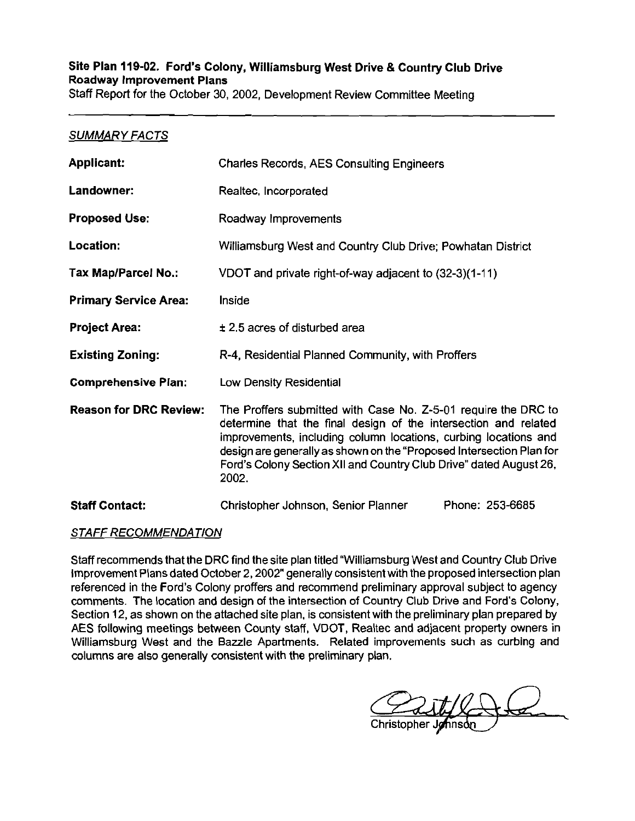#### Site Plan 119-02. Ford's Colony, Williamsburg West Drive & Country Club Drive Roadway Improvement Plans Staff Report for the October 30, 2002, Development Review Committee Meeting

### SUMMARY FACTS

| <b>Applicant:</b>             | <b>Charles Records, AES Consulting Engineers</b>                                                                                                                                                                                                                                                                                                            |  |
|-------------------------------|-------------------------------------------------------------------------------------------------------------------------------------------------------------------------------------------------------------------------------------------------------------------------------------------------------------------------------------------------------------|--|
| Landowner:                    | Realtec, Incorporated                                                                                                                                                                                                                                                                                                                                       |  |
| <b>Proposed Use:</b>          | Roadway Improvements                                                                                                                                                                                                                                                                                                                                        |  |
| Location:                     | Williamsburg West and Country Club Drive; Powhatan District                                                                                                                                                                                                                                                                                                 |  |
| Tax Map/Parcel No.:           | VDOT and private right-of-way adjacent to (32-3)(1-11)                                                                                                                                                                                                                                                                                                      |  |
| <b>Primary Service Area:</b>  | <b>Inside</b>                                                                                                                                                                                                                                                                                                                                               |  |
| <b>Project Area:</b>          | $\pm$ 2.5 acres of disturbed area                                                                                                                                                                                                                                                                                                                           |  |
| <b>Existing Zoning:</b>       | R-4, Residential Planned Community, with Proffers                                                                                                                                                                                                                                                                                                           |  |
| <b>Comprehensive Plan:</b>    | <b>Low Density Residential</b>                                                                                                                                                                                                                                                                                                                              |  |
| <b>Reason for DRC Review:</b> | The Proffers submitted with Case No. Z-5-01 require the DRC to<br>determine that the final design of the intersection and related<br>improvements, including column locations, curbing locations and<br>design are generally as shown on the "Proposed Intersection Plan for<br>Ford's Colony Section XII and Country Club Drive" dated August 26,<br>2002. |  |
| <b>Staff Contact:</b>         | Phone: 253-6685<br>Christopher Johnson, Senior Planner                                                                                                                                                                                                                                                                                                      |  |

#### STAFF RECOMMENDATION

Staff recommends that the DRC find the site plan titled "Williamsburg West and Country Club Drive Improvement Plans dated October 2,2002" generally consistent with the proposed intersection plan referenced in the Ford's Colony proffers and recommend preliminary approval subject to agency comments. The location and design of the intersection of Country Club Drive and Ford's Colony, Section 12, as shown on the attached site plan, is consistent with the prelirninary plan prepared by AES following meetings between County staff, VDOT, Realtec and adjacent property owners in Williamsburg West and the Bazzle Apartments. Related improvements such as curbing and columns are also generally consistent with the prelirninary plan.

Christopher Jo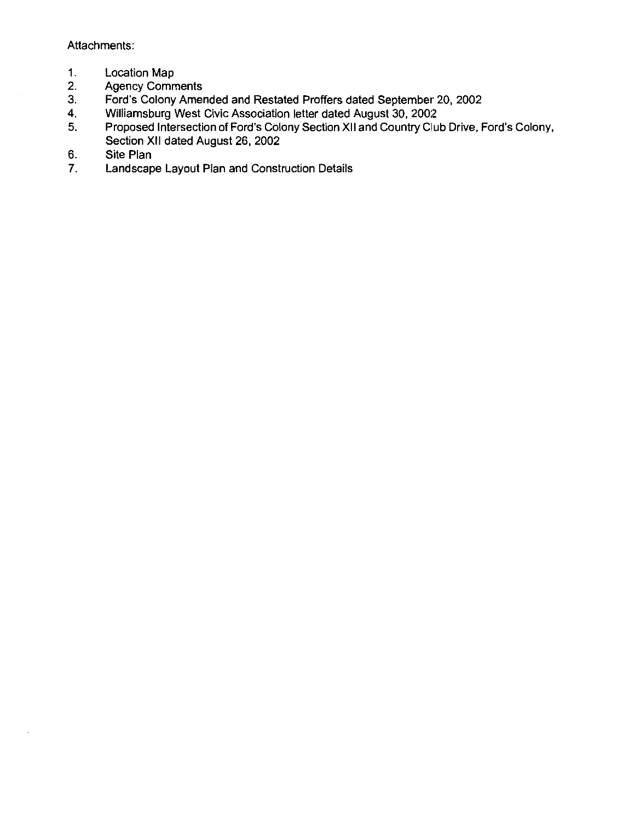**Attachments:** 

- **1. Location Map**
- **2. Agency Comments**
- **3. Ford's Colony Amended and Restated Proffers dated September 20, 2002**
- **4. Williamsburg West Civic Association letter dated August 30, 200:2**
- **5. Proposed Intersection of Ford's Colony Section XI1 and Country Club Drive, Ford's Colony, Section XI1 dated August 26, 2002**
- **6. Site Plan**
- **7. Landscape Layout Plan and Construction Details**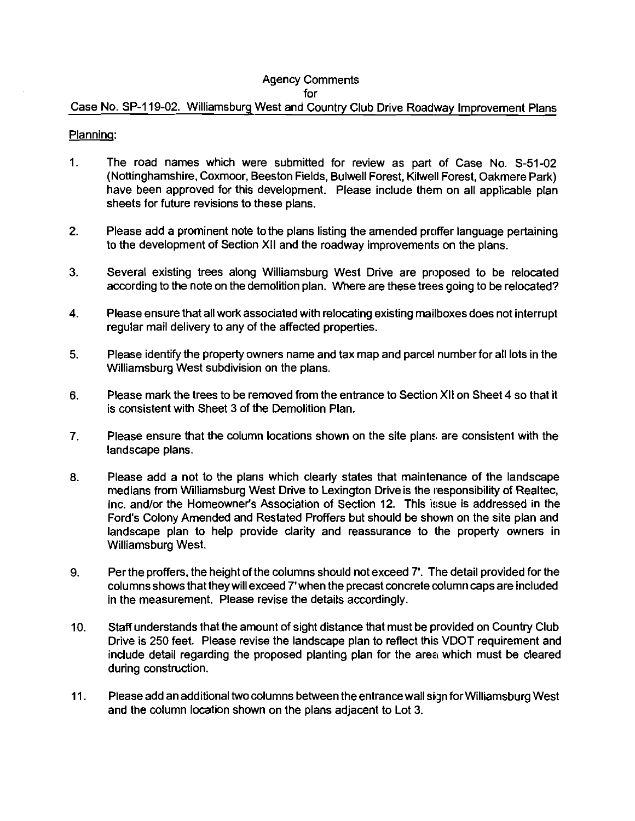### Agency Comments

for

### Case No. SP-119-02. Williamsburg West and Country Club Drive Roadway Improvement Plans

#### Planning:

- 1. The road names which were submitted for review as part of Case No. 5-51-02 (Nottinghamshire. Coxmoor, Beeston Fields, Bulwell Forest. Kilwell Forest, Oakmere Park) have been approved for this development. Please include them on all applicable plan sheets for future revisions to these plans.
- 2. Please add a prominent note to the plans listing the amended proffer language pertaining to the development of Section XI1 and the roadway improvements on the plans.
- **3.** Several existing trees along Williamsburg West Drive are proposed to be relocated according to the note on the demolition plan. Where are these trees going to be relocated?
- **4.** Please ensure that all work associated with relocating existing mailboxes does not interrupt regular mail delivery to any of the affected properties.
- **5.** Please identify the properly owners name and tax map and parcel number for all lots in the Williamsburg West subdivision on the plans.
- **6.** Please mark the trees to be removed from the entrance to Section XI1 on Sheet 4 so that it is consistent with Sheet 3 of the Demolition Plan.
- **7.** Please ensure that the column locations shown on the site plans are consistent with the landscape plans.
- **8.** Please add a not to the plans which clearly states that maintenance of the landscape medians from Williamsburg West Drive to Lexington Driveis the responsibility of Realtec, Inc. and/or the Homeowner's Association of Section 12. This issue is addressed in the Ford's Colony Amended and Restated Proffers but should be shown on the site plan and landscape plan to help provide clarity and reassurance to the property owners in Williamsburg West.
- 9. Per the proffers, the height of the columns should not exceed 7'. The detail provided for the columns shows that they will exceed 7' when the precast concrete column caps are included in the measurement. Please revise the details accordingly.
- 10. Staff understands that the amount of sight distance that must be provided on Country Club Drive is 250 feet. Please revise the landscape plan to reflect this VDOT requirement and include detail regarding the proposed planting plan for the area which must be cleared during construction.
- 11. Please add an additional two columns between the entrance wall sign for Williamsburg West and the column location shown on the plans adjacent to Lot 3.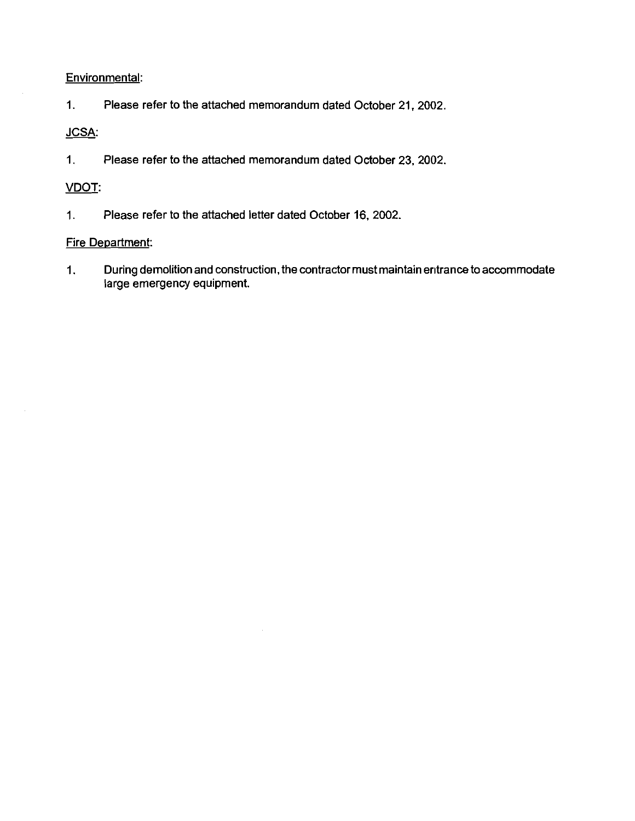### **Environmental:**

**1. Please refer to the attached memorandum dated October 21.2002.** 

## **JCSA:**

**1. Please refer to the attached memorandum dated October 23, 2002.** 

### VDOT:

1. **Please refer to the attached letter dated October 16.2002.** 

### **Fire Department:**

**1. During demolition and construction, the contractor must maintain entrance to accommodate large emergency equipment.**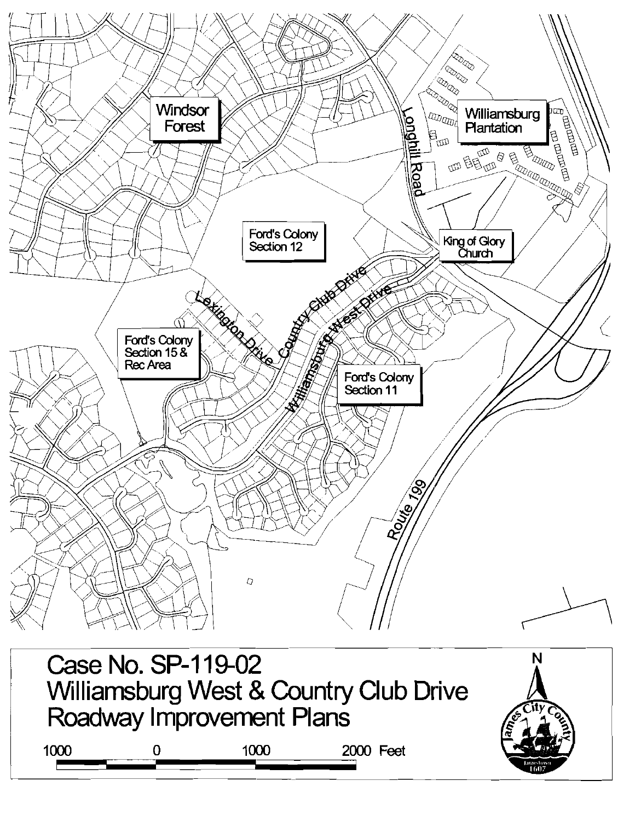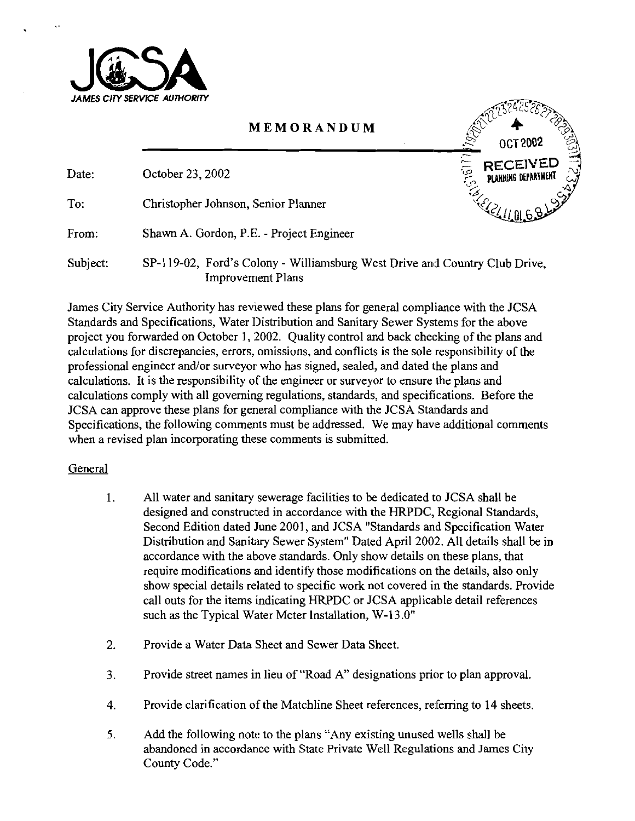

## **MEMORANDUM**

T 2002 PLANNING DEPART

Date: October 23, 2002

To: Christopher Johnson, Senior Planner

From: Shawn A. Gordon, P.E. - Project Engineer

Subject: SP-I 19-02, Ford's Colony - Williamsburg West Drive and Country Club Drive, Improvement Plans

James City Service Authority has reviewed these plans for general compliance with the JCSA Standards and Specifications, Water Distribution and Sanitary Sewer Systems for the above project you forwarded on October 1, 2002. Quality control and back checking of the plans and calculations for discrepancies, errors, omissions, and conflicts is the sole responsibility of the professional engineer and/or surveyor who has signed, sealed, and dated the plans and calculations. It is the responsibility of the engineer or surveyor to ensure the plans and calculations comply with all governing regulations, standards, and specifications. Before the JCSA can approve these plans for general compliance with the JCSA Standards and Specifications, the following comments must be addressed. We may have additional comments when a revised plan incorporating these comments is submitted.

## General

- 1. All water and sanitary sewerage facilities to be dedicated to JCSA shall be designed and constructed in accordance with the HRPDC, Regional Standards, Second Edition dated June 2001, and JCSA "Standards and Specification Water Distribution and Sanitary Sewer System" Dated April 2002. All details shall be in accordance with the above standards. Only show details on these plans, that require modifications and identify those modifications on the details, also only show special details related to specific work not covered in the standards. Provide call outs for the items indicating HRPDC or JCSA applicable detail references such as the Typical Water Meter Installation, W-13.0"
- 2. Provide a Water Data Sheet and Sewer Data Sheet.
- 3. Provide street names in lieu of "Road A" designations prior to plan approval.
- 4. Provide clarification of the Matchline Sheet references, referring to 14 sheets.
- 5. Add the following note to the plans "Any existing unused wells shall be abandoned in accordance with State Private Well Regulations and James City County Code."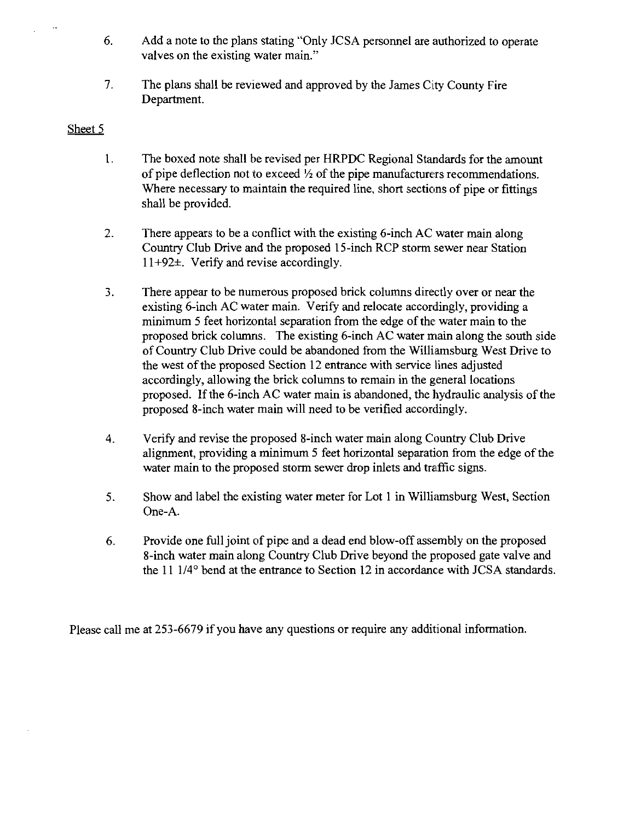- 6. Add a note to the plans stating "Only JCSA personnel are authorized to operate valves on the existing water main."
- The plans shall be reviewed and approved by the James City County Fire  $7.$ Department.

### Sheet 5

- $\mathbf{1}$ . The boxed note shall be revised per HRPDC Regional Standards for the amount of pipe deflection not to exceed *Yi* of the pipe manufacturers recommendations. Where necessary to maintain the required line. short sections of pipe or fittings shall be provided.
- There appears to be a conflict with the existing 6-inch AC water main along  $\overline{2}$ . Country Club Drive and the proposed 15-inch RCP storm sewer near Station  $11+92\pm$ . Verify and revise accordingly.
- There appear to be numerous proposed brick columns directly over or near the  $\overline{3}$ . existing 6-inch AC water main. Verify and relocate accordingly, providing a minimum 5 feet horizontal separation from the edge of the water main to the proposed brick columns. The existing 6-inch AC water main along the south side of Country Club Drive could be abandoned from the Williamsburg West Drive to the west of the proposed Section 12 entrance with service lines adjusted accordingly, allowing the brick columns to remain in the general locations proposed. If the 6-inch AC water main is abandoned, the hydraulic analysis of the proposed 8-inch water main will need to be verified accordingly.
- Verify and revise the proposed 8-inch water main along Country Club Drive  $\overline{4}$ . alignment, providing a minimum 5 feet horizontal separation from the edge of the water main to the proposed storm sewer drop inlets and traffic signs.
- Show and label the existing water meter for Lot 1 in Williamsburg West, Section 5. One-A.
- 6. Provide one full joint of pipe and a dead end blow-off assembly on the proposed 8-inch water main along Country Club Drive beyond the proposed gate valve and the  $11 \frac{1}{4}$  bend at the entrance to Section 12 in accordance with JCSA standards.

Please call me at 253-6679 if you have any questions or require any additional information.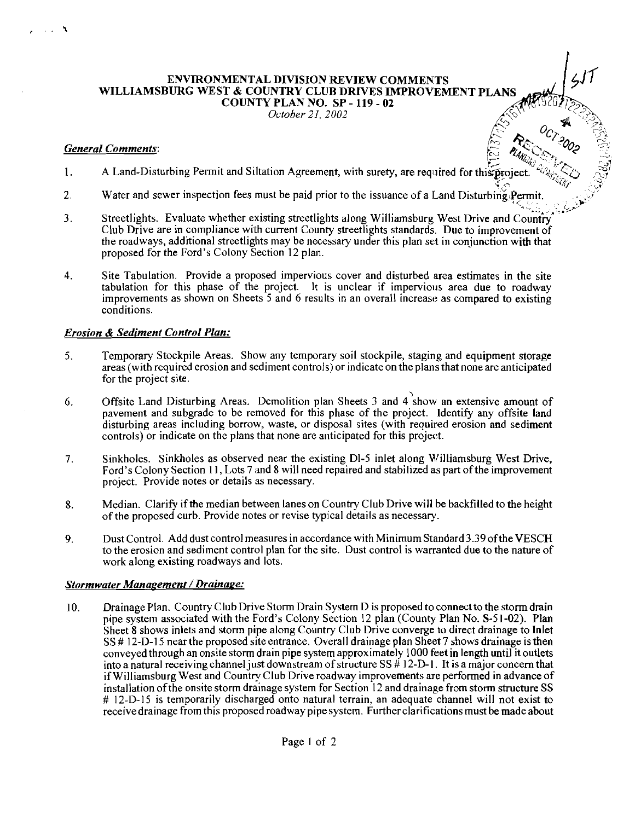#### **ENVIRONMENTAL DIVISION REVIEW COMMENTS WILLIAMSBURG WEST** & **COUNTRY CLUB DRIVES IMPROVEMENT PLANS COUNTY PLAN NO. SP** - **119** - **02**  *October 21, 2002*

#### *General Comments:* . .

 $\sim 10^{-1}$  $\ddot{\phantom{1}}$ 

- 1. A Land-Disturbing Permit and Siltation Agreement, with surety, are required for this project<br>2. Water and sewer inspection fees must be paid prior to the issuance of a Land Disturbing Per
- Water and sewer inspection fees must be paid prior to the issuance of a Land Disturbing Permit.
- **<sup>a</sup>**#.. . ..\*, ,'9 3. Streetlights. Evaluate whether existing streetlights along Williamsburg West Drive and Country Club Drive are in compliance with current County streetlights standards. Due to improvement of the roadways, additional streetlights may be necessary under this plan set in conjunction with that proposed for the Ford's Colony Section 12 plan.
- **4.** Site Tabulation. Provide a proposed impervious cover and disturbed area estimates in the site tabulation for this phase of the project. It is unclear if impervious area due to roadway improvements as shown on Sheets 5 and 6 results in an overall increase as compared to existing conditions.

#### *Erosion* & *Sediment Control Plan:*

- 5. Temporary Stockpile Areas. Show any temporary soil stockpile, staging and equipment storage areas (with required erosion and sediment controls) or indicate on the plans that none are anticipated for the project site
- 6. Offsite Land Disturbing Areas. Demolition plan Sheets 3 and  $4^{\circ}$ show an extensive amount of pavement and subgrade to be removed for this phase of the project. Identify any offsite land disturbing areas including borrow, waste, or disposal sites (with required erosion and sediment controls) or indicate on the plans that none are anticipated for this project.
- 7. Sinkholes. Sinkholes as observed near the existing Dl-5 inlet along Williamsburg West Drive, Ford's Colony Section 11, Lots 7 and 8 will need repaired and stabilized as part of the improvement project. Provide notes or details as necessary.
- **8.** Median. Clarify ifthe median between lanes on Country Club Drive will be backfilled to the height of the proposed curb. Provide notes or revise typical details as necessary.
- 9. Dust Control. Add dust control measures in accordance with Minimum Standard 3.39 oftheVESCH to the erosion and sediment control plan for the site. Dust control is warranted due to the nature of work along existing roadways and lots.

#### **Stormwater Management / Drainage:**

10. Drainage Plan. Country Club Drive Storm Drain System D is proposed to connect to the storm drain pipe system associated with the Ford's Colony Section 12 plan (County Plan No. S-5 1-02). Plan Sheet 8 shows inlets and storm pipe along Country Club Drive converge to direct drainage to Inlet SS # 12-D-I 5 nearthe proposed siteentrance. Overall drainage plan Sheet 7 shows drainage is then conveyed through an onsite storm drain pipe system approximately 1000 feet in length until it outlets into a natural receiving channel just downstream of structure SS  $\#$  12-D-1. It is a major concern that ifWilliamsburg West and Country Club Drive roadway improvements are performed in advance of installation of the onsite storm drainage system for Section 12 and drainage from storm structure SS # 12-D-I5 is temporarily discharged onto natural terrain, an adequate channel will not exist to receivedrainage from this proposed roadway pipe system. Further clarifications must be made about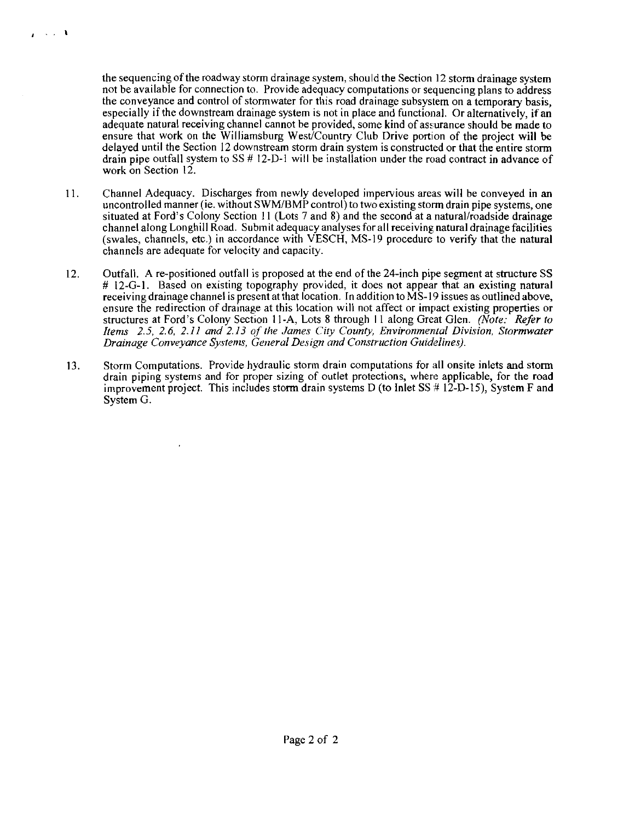the sequencing of the roadway storm drainage system, should the Section 12 storm drainage system not be available for connection to. Provide adequacy computations or sequencing plans to address the conveyance and control of stormwater for this road drainage subsystem on a temporary basis, especially if the downstream drainage system is not in place and functional. Or alternatively, if an adequate natural receiving channel cannot be provided, some kind of assurance should be made to ensure that work on the Williamsburg West/Country Club Drive portion of the project will be delayed until the Section I2 downstream storm drain system is constructed or that the entire storm drain pipe outfall system to SS # 12-D-1 will be installation under the road contract in advance of work on Section 12.

 $\chi \sim 10^{-4}$ 

- 11. Channel Adequacy. Discharges from newly developed impervious areas will be conveyed in an uncontrolled manner (ie. without SWM/BMP control) to two existing storm drain pipe systems, one situated at Ford's Colony Section 11 (Lots 7 and 8) and the second at a natural/roadside drainage channel along Longhill Road. Submit adequacy analyses for all receiving natural drainage facilities (swales, channels, etc.) in accordance with VESCH, MS-19 procedure to verify that the natural channels are adequate for velocity and capacity.
- 12. Outfall. A re-positioned outfall is proposed at the end of the 24-inch pipe segment at structure SS # 12-G-1. Based on existing topography provided, it does not appear that an existing natural receiving drainage channel is present at that location. In addition to MS-19 issues as outlined above, ensure the redirection of drainage at this location will not affect or impact existing properties or structures at Ford's Colony Section 11-A, Lots 8 through 11 along Great Glen. *(Note: Refer to hems 2.5, 2.6, 2.11 and 2.13 of'the James City County, Environmen'tul Division, Stormwater Drainage Conveyance Systems, General Design and Construction Guidelines).*
- 13. Storm Computations. Provide hydraulic storm drain computations for all onsite inlets and storm drain piping systems and for proper sizing of outlet protections, when: applicable, for the road improvement project. This includes storm drain systems D (to Inlet SS  $\#$  12-D-15), System F and System G.

 $\mathbf{r}$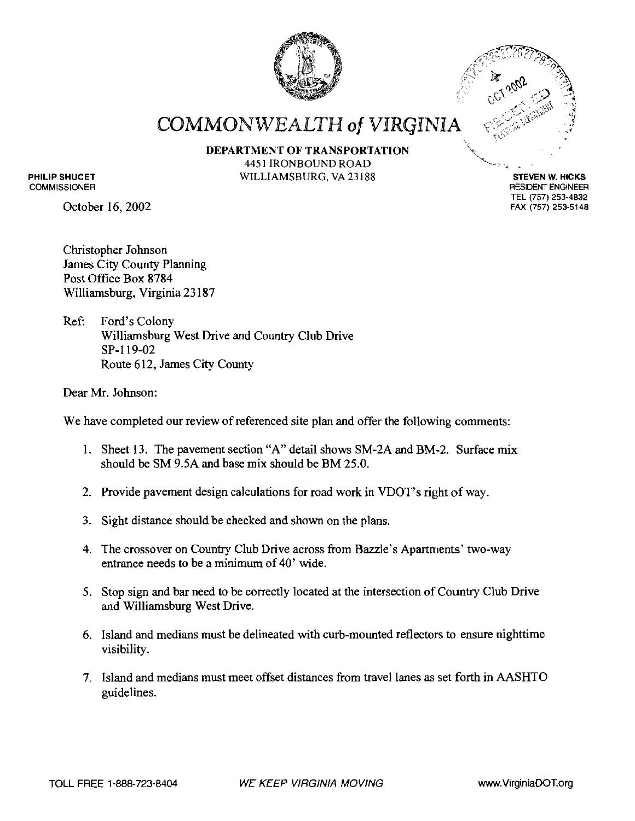



RESIDENT ENGINEER TEL **(757) 253-4832 FAX (757) 253-5148** 

**COMMONWEALTH of VIRGINIA** 

**DEPARTMENT OF TRANSPORTATION**  $\left\{\begin{matrix} 4451 \text{ IRONBOUND RodD}\end{matrix}\right\}$ WILLIAMSBURG, VA 23188 **STEVEN W. HICKS** 

**PHILIP SHUCET COMMISSIONER** 

October 16,2002

Christopher Johnson James City County Planning Post Office Box 8784 Williamsburg, Virginia 23 187

Ref: Ford's Colony Williamsburg West Drive and Country Club Drive SP-I 19-02 Route 6 12, James City County

Dear Mr. Johnson:

We have completed our review of referenced site plan and offer the following comments:

- 1. Sheet 13. The pavement section "A" detail shows SM-2A and BM-2. Surface mix should be SM 9.5A and base mix should be BM 25.0.
- 2. Provide pavement design calculations for road work in VDOT's right of way.
- 3. Sight distance should be checked and shown on the plans.
- 4. The crossover on Country Club Drive across from Bazzle's Apartments' two-way entrance needs to be a minimum of 40' wide.
- 5. Stop sign and bar need to be correctly located at the intersection of Country Club Drive and Williamsburg West Drive.
- 6. Island and medians must be delineated with curb-mounted reflectors to ensure nighttime visibility.
- 7. Island and medians must meet offset distances from travel lanes as set forth in AASHTO guidelines.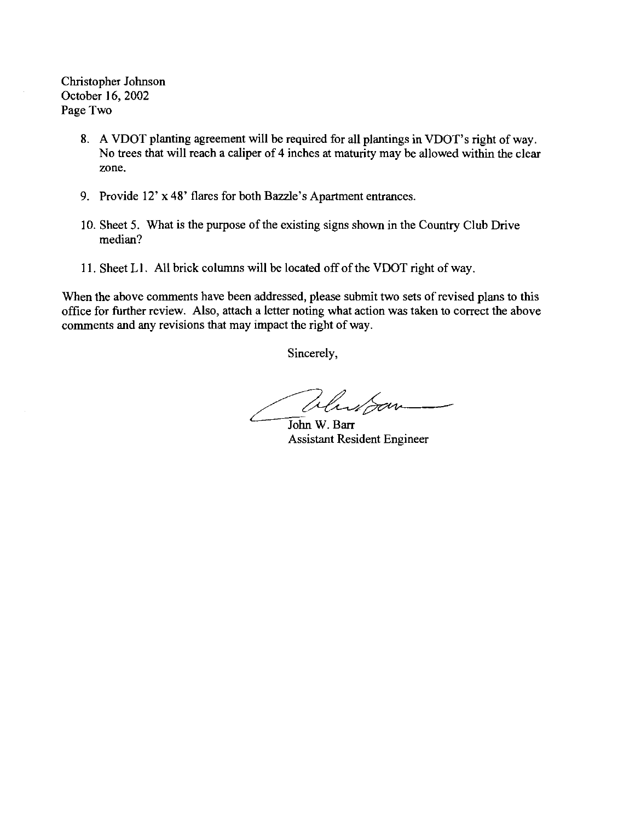Christopher Johnson October 16,2002 Page Two

- 8. A VDOT planting agreement will be required for all plantings in VDOT's right of way. No trees that will reach a caliper of 4 inches at maturity may be allowed within the clear zone.
- 9. Provide 12' x 48' flares for both Bazzle's Apartment entrances
- 10. Sheet 5. What is the purpose of the existing signs shown in the Country Club Drive median?
- 11. Sheet L1. All brick columns will be located off of the VDOT right of way.

When the above comments have been addressed, please submit two sets of revised plans to this office for further review. Also, attach a letter noting what action was taken to correct the above comments and any revisions that may impact the right of way.

Sincerely,

Whitpon-

John W. Barr Assistant Resident Engineer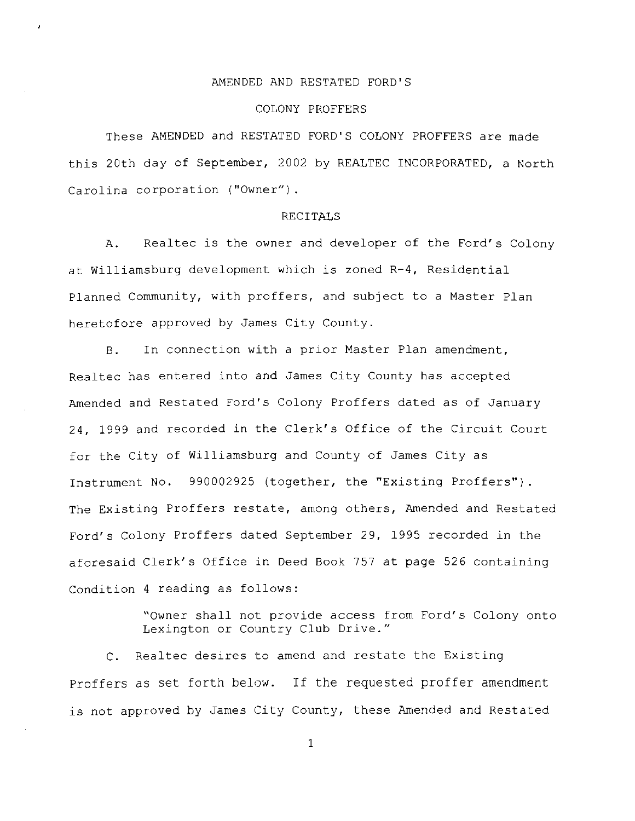#### AMENDED AND RESTATED FORD'S

#### COLONY PROFFERS

These AMENDED and RESTATED FORD'S COLONY PROFFERS are made this 20th day of September, 2002 by REALTEC INCORPORATED, a North Carolina corporation ("Owner").

#### RECITALS

A. Realtec is the owner and developer of the Ford's Colony at Williamsburg development which is zoned R-4, Residential Planned Community, with proffers, and subject to a Master Plan heretofore approved by James City County.

B. In connection with a prior Master Plan amendment, Realtec has entered into and James City County has accepted Amended and Restated Ford's Colony Proffers dated as of January 24, 1999 and recorded in the Clerk's Office of the Circuit Court for the City of Williamsburg and County of James City as Instrument No. 990002925 (together, the "Existing Proffers"). The Existing Proffers restate, among others, Amended and Restated Ford's Colony Proffers dated September 29, 1995 recorded in the aforesaid Clerk's Office in Deed Book 757 at page 526 containing Condition 4 reading as follows:

> "Owner shall not provide access from Ford's Colony onto Lexington or Country Club Drive."

C. Realtec desires to amend and restate the Existing Proffers as set forth below. If the requested proffer amendment is not approved by James City County, these Amended and Restated

 $\mathbf{1}$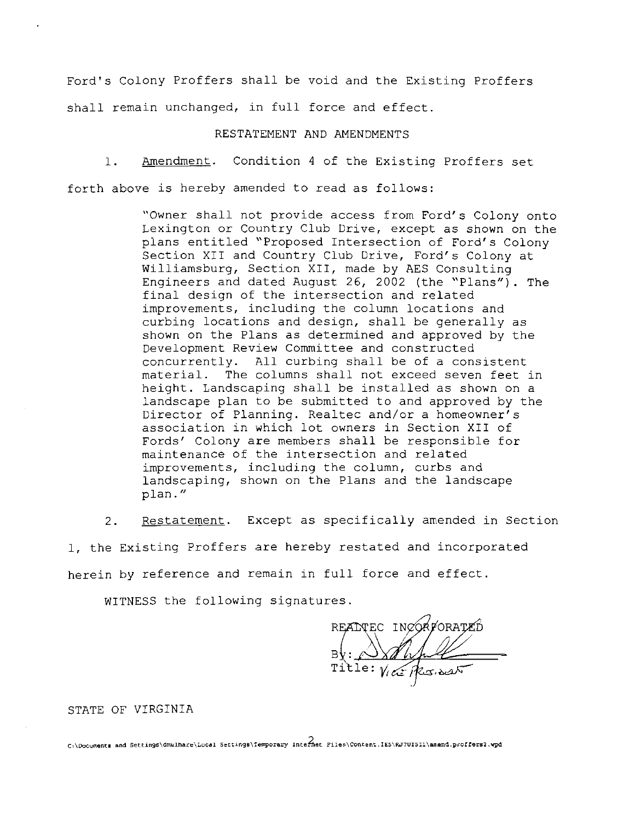Ford's Colony Proffers shall be void and the Existing Proffers shall remain unchanged, in full force and effect.

#### RESTATEMENT AND AMENDMENTS

1. Amendment. Condition 4 of the Existing Proffers set

forth above is hereby amended to read as follows:

"Owner shall not provide access from Ford's Colony onto Lexington or Country Club Drive, except as shown on the plans entitled "Proposed Intersection of Ford's Colony Section XI1 and Country Club Drive, Ford's Colony at Williamsburg, Section XII, made by AES Consulting Engineers and dated August 26, 2002 (the "Plans"). The final design of the intersection and related improvements, including the column locations and curbing locations and design, shall be generally as shown on the Plans as determined and approved by the Development Review Committee and constructed concurrently. All curbing shall be of a consistent material. The columns shall not exceed seven feet in height. Landscaping shall be installed as shown on a landscape plan to be submitted to and approved by the Director of Planning. Realtec and/or a homeowner's association in which lot owners in Section XI1 of Fords' Colony are members shall be responsible for maintenance of the intersection and related improvements, including the column, curbs and landscaping, shown on the Plans and the landscape plan. "

2. Restatement. Except as specifically amended in Section

1, the Existing Proffers are hereby restated and incorporated herein by reference and remain in full force and effect.

WITNESS the following signatures.

READTEC INCORPORE

#### STATE OF VIRGINIA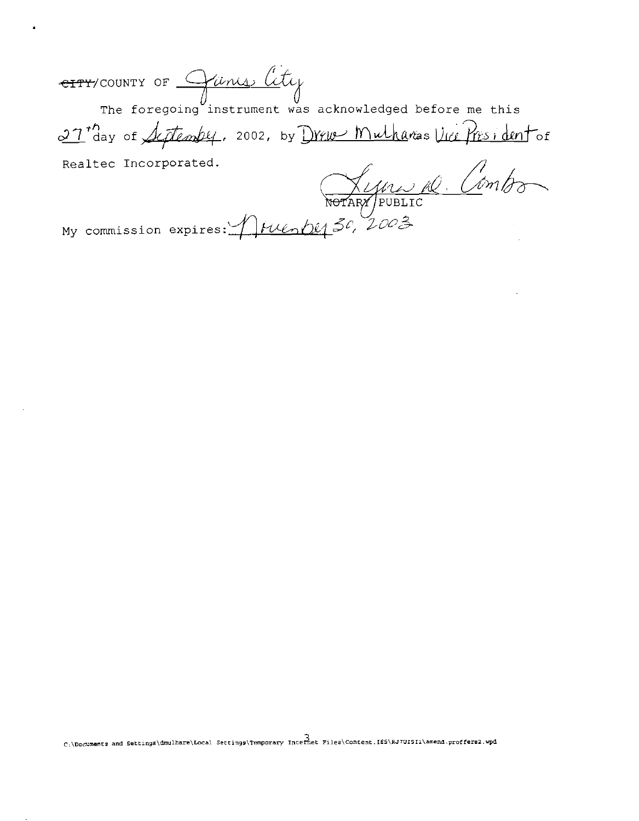<del>eity</del>/county of <u>Come Cl</u>

he foregoing instrument was acknowledged before me this 27 ag of September, 2002, by Drew Mulhares Vice President of

ealtec Incorporated.<br>Combo  $\begin{pmatrix} 2 & 0 & 0 \\ 0 & 0 & 0 \\ 0 & 0 & 0 \end{pmatrix}$ 

*My* commission expires: *Arvenbe<sub>l</sub> 30*, 2003

C:\Documents and Settings\dmulhare\Local Settings\Temporary Internet Files\Content.IES\RJ7UI5Ii\amend.proffers2.wpd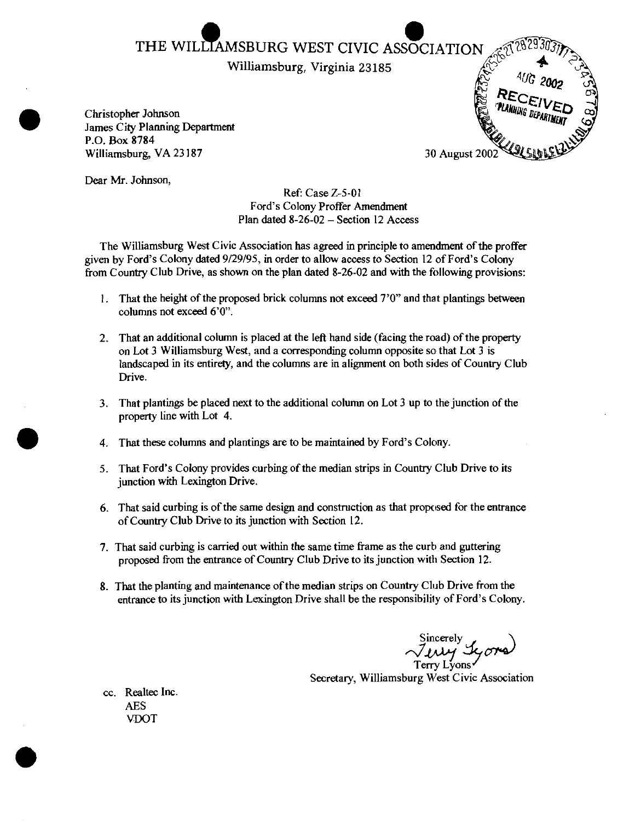Williamsburg, Virginia 23185

Christopher Johnson James City Planning Department P.O. Box 8784 Williamsburg, VA 23 187



Dear Mr. Johnson,

Ref: Case Z-5-01 Ford's Colony Proffer Amendment Plan dated 8-26-02 - Section 12 Access

The Williamsburg West Civic Association has agreed in principle to amendment of the proffer given by Ford's Colony dated 9/29/95, in order to allow access to Section 12 of Ford's Colony from Country Club Drive, as shown on the plan dated 8-26-02 and with the following provisions:

- 1. That the height of the proposed brick columns not exceed  $7'0''$  and that plantings between columns not exceed 6'0".
- 2. That an additional column is placed at the left hand side (facing the road) of the property on Lot 3 Williamsburg West, and a corresponding column opposite so that Lot 3 is landscaped in its entirety, and the columns are in alignment on both sides of Country Club Drive.
- 3. That plantings be placed next to the additional column on Lot 3 up to the junction of the property line with Lot 4.
- 4. That these columns and plantings are to be maintained by Ford's Colony.
- 5. That Ford's Colony provides curbing of the median strips in Country Club Drive to its junction with Lexington Drive.
- 6. That said curbing is of the same design and construction as that proposed for the entrance of Country Club Drive to its junction with Section 12.
- 7. That said curbing is carried out within the same time frame as the curb and guttering proposed from the entrance of Country Club Drive to its junction with Section 12.
- 8. That the planting and maintenance ofthe median strips on Country Club Drive from the entrance to its junction with Lexington Drive shall be the responsibility of Ford's Colony.

Terry Lyons

Secretary, Williamsburg West Civic Association

cc. Realtec Inc. AES VDOT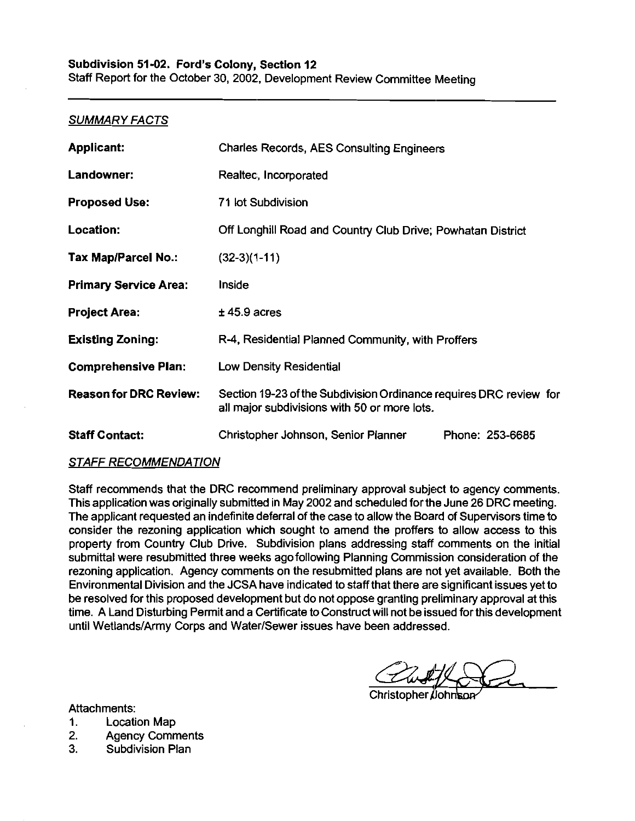Staff Report for the October 30, 2002, Development Review Committee Meeting

#### SUMMARY FACTS

| <b>Applicant:</b>             | <b>Charles Records, AES Consulting Engineers</b>                                                                   |  |
|-------------------------------|--------------------------------------------------------------------------------------------------------------------|--|
| Landowner:                    | Realtec, Incorporated                                                                                              |  |
| <b>Proposed Use:</b>          | 71 lot Subdivision                                                                                                 |  |
| Location:                     | Off Longhill Road and Country Club Drive; Powhatan District                                                        |  |
| Tax Map/Parcel No.:           | $(32-3)(1-11)$                                                                                                     |  |
| <b>Primary Service Area:</b>  | <b>Inside</b>                                                                                                      |  |
| <b>Project Area:</b>          | $±$ 45.9 acres                                                                                                     |  |
| <b>Existing Zoning:</b>       | R-4, Residential Planned Community, with Proffers                                                                  |  |
| <b>Comprehensive Plan:</b>    | Low Density Residential                                                                                            |  |
| <b>Reason for DRC Review:</b> | Section 19-23 of the Subdivision Ordinance requires DRC review for<br>all major subdivisions with 50 or more lots. |  |
| <b>Staff Contact:</b>         | Christopher Johnson, Senior Planner<br>Phone: 253-6685                                                             |  |

#### STAFF RECOMMENDATION

Staff recommends that the DRC recommend preliminary approval subject to agency comrnents. This application was originally submitted in May 2002 and scheduled for the June 26 DRC meeting. The applicant requested an indefinite deferral of the case to allow the Board of Supervisors time to consider the rezoning application which sought to amend the proffers to allow access to this property from Country Club Drive. Subdivision plans addressing staff comments on the initial submittal were resubmitted three weeks ago following Planning Commission consideration of the rezoning application. Agency comments on the resubmitted plans are not yet available. Both the Environmental Division and the JCSA have indicated to staff that there are significant issues yet to be resolved for this proposed development but do not oppose granting preliminary approval at this time. A Land Disturbing Permit and a Certificate to Construct will not be issued for this development until Wetlands/Army Corps and Water/Sewer issues have been addressed.

Christopher *(*Johr

Attachments:

1. Location Map

- 2. Agency Comments
- 3. Subdivision Plan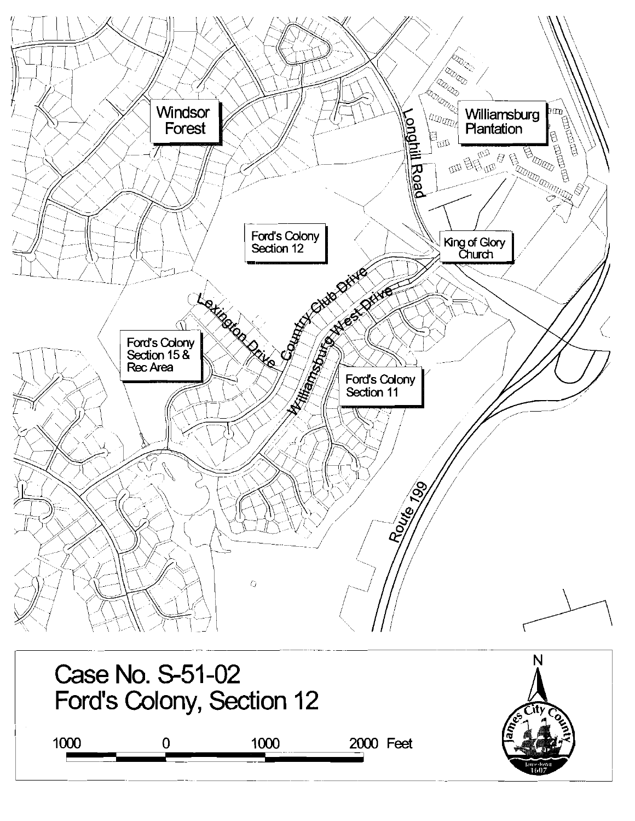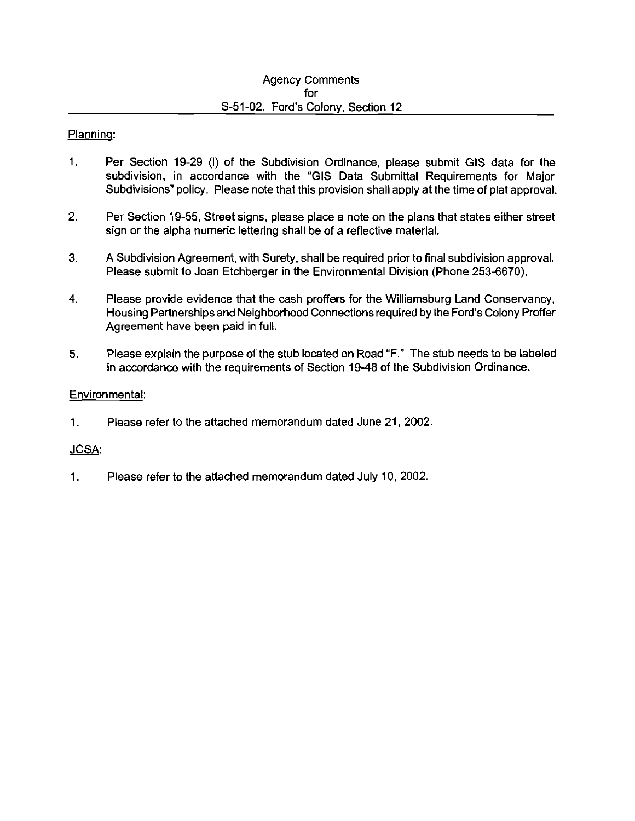#### Planninq:

- 1. Per Section 19-29 (1) of the Subdivision Ordinance, please submit GIs data for the subdivision, in accordance with the "GIs Data Submittal Requirements for Major Subdivisions" policy. Please note that this provision shall apply at the time of plat approval.
- 2. Per Section 19-55, Street signs, please place a note on the plans that states either street sign or the alpha numeric lettering shall be of a reflective material.
- 3. A Subdivision Agreement, with Surety, shall be required prior to final subdivision approval. Please submit to Joan Etchberger in the Environmental Division (Phone 253-6670).
- **4.** Please provide evidence that the cash proffers for the Williamsburg Land Conservancy, Housing Partnershipsand Neighborhood Connections required by the Ford's Colony Proffer Agreement have been paid in full.
- 5. Please explain the purpose of the stub located on Road "F." The stub needs to be labeled in accordance with the requirements of Section 19-48 of the Subdivision Ordinance.

#### Environmental:

1. Please refer to the attached memorandum dated June 21, 2002.

#### **JCSA:**

1. Please refer to the attached memorandum dated July 10, 2002.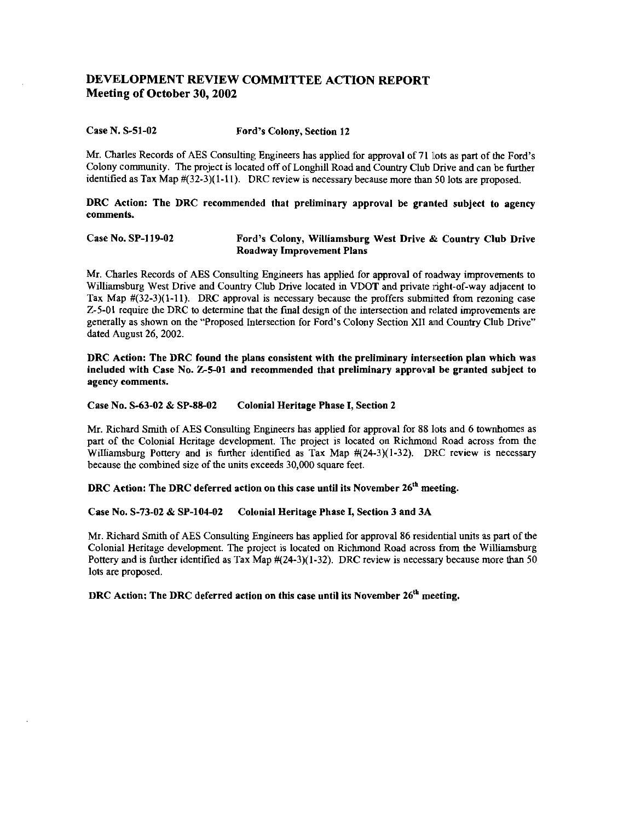#### **DEVELOPMENT REVIEW COMMITTEE ACTION REPORT Meeting of October 30,2002**

#### Case N. S-51-02 Ford's Colony, Section 12

Mr. Charles Records of AES Consulting Engineers has applied for approval of 71 lots as part of the Ford's Colony community. The project is located off of Longhill Road and Country Club Drive and can be further identified as Tax Map  $\#$ (32-3)(1-11). DRC review is necessary because more than 50 lots are proposed.

DRC Action: The DRC recommended that preliminary approval be granted subject to agency comments.

#### Case No. SP-119-02 Ford's Colony, Williamsburg West Drive **6~** Country Club Drive Roadway Improvement Plans

Mr. Charles Records of AES Consulting Engineers has applied for approval of madway improvements to Williamsburg West Drive and Country Club Drive located in VDOT and private right-of-way adjacent to Tax Map  $\#$ (32-3)(1-11). DRC approval is necessary because the proffers submitted from rezoning case  $Z-5-01$  require the DRC to determine that the final design of the intersection and related improvements are generally as shown on the "Proposed Intersection for Ford's Colony Section **XI1** and Country Club Drive" dated August 26, 2002.

DRC Action: The DRC found the plans consistent with the preliminary intersection plan which was included with Case No. 25-01 and recommended that preliminary approval be granted subject to agency comments.

#### Case No. S-63-02 & SP-86-02 Colonial Heritage Phase I, Section 2

Mr. Richard Smith of AES Consulting Engineers has applied for approval for 88 lots and 6 townhomes as part of the ColoniaI Heritage development. The project is located on Richmond Road across from the Williamsburg Pottery and is further identified as Tax Map  $#(24-3)(1-32)$ . DRC review is necessary because the combined size of the units exceeds 30,000 square feet.

DRC Action: The DRC deferred action on this case until its November 26<sup>th</sup> meeting.

Case No. S-73-02 & SP-104-02 Colonial Heritage Phase I, Section 3 and 3A

Mr. Richard Smith of AES Consulting Engineers has applied for approval 86 residential units as part of the Colonial Heritage development. The project is located on Richmond Road across from the Williamsburg Pottery and is further identified as Tax Map  $#24-3)(1-32)$ . DRC review is necessary because more than 50 lots are proposed.

DRC Action: The DRC deferred action on this case until its November  $26<sup>th</sup>$  meeting.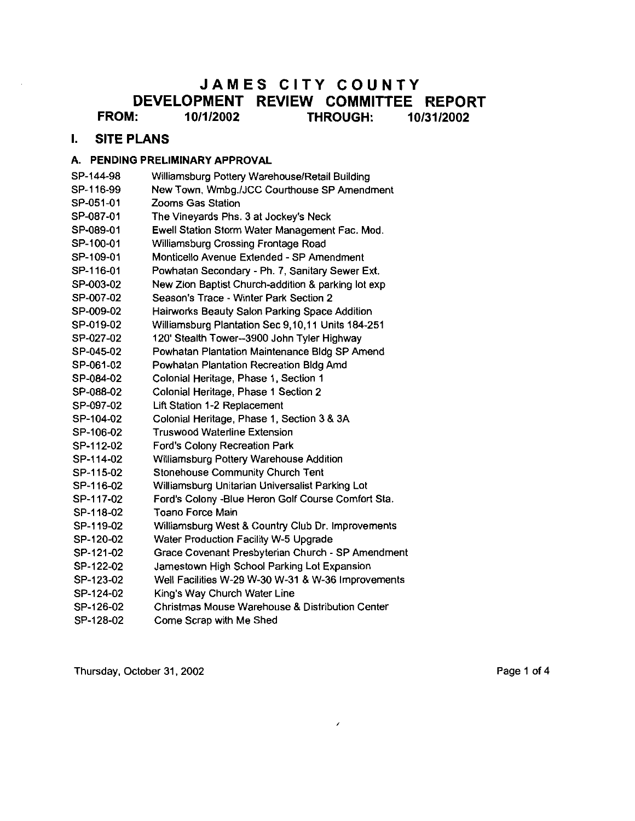## **JAMES CITY COUNTY DEVELOPMENT REVIEW COMMITTEE REPORT FROM: 1 011 12002 THROUGH: 1013112002**

### **I. SITE PLANS**

#### A. PENDING PRELIMINARY APPROVAL

- SP-144-98 Williamsburg Pottery Warehouse/Retail Building
- SP-116-99 New Town. Wmbg.IJCC Courthouse SP Amendment
- SP-051.01 Zooms Gas Station
- SP-087-01 The Vineyards Phs. 3 at Jockey's Neck
- SP-089-01 Ewell Station Storm Water Management Fac. Mod.
- SP-100-01 Williamsburg Crossing Frontage Road
- SP-109-01 Monticello Avenue Extended SP Amendment
- SP-116-01 Powhatan Secondary Ph. 7, Sanitary Sewer Ext.
- SP-003-02 New Zion Baptist Church-addition & parking lot exp
- SP-007-02 Season's Trace Winter Park Section 2
- SP-009-02 Hairworks Beauty Salon Parking Space Addition
- SP-019-02 Williamsburg Plantation Sec 9,10,11 Units 184-251
- SP-027-02 120' Stealth Tower--3900 John Tyler Highway
- SP-045-02 Powhatan Plantation Maintenance Bldg SP Amend
- SP-061-02 Powhatan Plantation Recreation Bldg Amd
- SP-084-02 Colonial Heritage, Phase 1, Section 1
- SP-088-02 Colonial Heritage, Phase 1 Section 2
- SP-097-02 Lift Station 1-2 Replacement
- SP-104-02 Colonial Heritage, Phase 1, Section 3 & 3A
- SP-106-02 Truswood Waterline Extension
- SP-112-02 Ford's Colony Recreation Park
- SP-114-02 Williamsburg Pottery Warehouse Addition
- SP-115-02 Stonehouse Community Church Tent
- SP-116-02 Williamsburg Unitarian Universalist Parking Lot
- SP-117-02 Ford's Colony -Blue Heron Golf Course Comfort Sta.
- SP-118-02 Toano Force Main
- SP-119-02 Williamsburg West & Country Club Dr. Improvements
- SP-120-02 Water Production Facility W-5 Upgrade
- SP-121-02 Grace Covenant Presbyterian Church SP Amendment
- SP-122-02 Jamestown High School Parking Lot Expansion
- SP-123-02 Well Facilities W-29 W-30 W-31 & W-36 Improvements
- SP-124-02 King's Way Church Water Line
- SP-126-02 Christmas Mouse Warehouse & Distribution Center
- SP-128-02 Come Scrap with Me Shed

Thursday, October 31, 2002 **Page 1 of 4** Page 1 of 4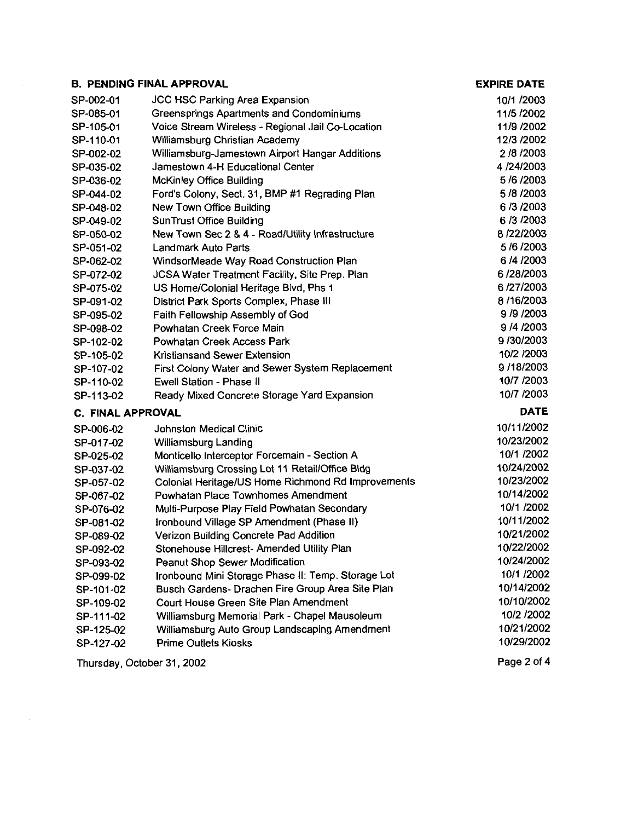|                            | <b>B. PENDING FINAL APPROVAL</b>                   | <b>EXPIRE DATE</b> |
|----------------------------|----------------------------------------------------|--------------------|
| SP-002-01                  | <b>JCC HSC Parking Area Expansion</b>              | 10/1 /2003         |
| SP-085-01                  | Greensprings Apartments and Condominiums           | 11/5 /2002         |
| SP-105-01                  | Voice Stream Wireless - Regional Jail Co-Location  | 11/9 /2002         |
| SP-110-01                  | Williamsburg Christian Academy                     | 12/3 /2002         |
| SP-002-02                  | Williamsburg-Jamestown Airport Hangar Additions    | 2/8/2003           |
| SP-035-02                  | Jamestown 4-H Educational Center                   | 4/24/2003          |
| SP-036-02                  | McKinley Office Building                           | 5/6/2003           |
| SP-044-02                  | Ford's Colony, Sect. 31, BMP #1 Regrading Plan     | 5/8/2003           |
| SP-048-02                  | New Town Office Building                           | 6/3/2003           |
| SP-049-02                  | <b>SunTrust Office Building</b>                    | 6/3/2003           |
| SP-050-02                  | New Town Sec 2 & 4 - Road/Utility Infrastructure   | 8/22/2003          |
| SP-051-02                  | Landmark Auto Parts                                | 5/6/2003           |
| SP-062-02                  | WindsorMeade Way Road Construction Plan            | 6/4/2003           |
| SP-072-02                  | JCSA Water Treatment Facility, Site Prep. Plan     | 6/28/2003          |
| SP-075-02                  | US Home/Colonial Heritage Blvd, Phs 1              | 6/27/2003          |
| SP-091-02                  | District Park Sports Complex, Phase III            | 8/16/2003          |
| SP-095-02                  | Faith Fellowship Assembly of God                   | 9/9/2003           |
| SP-098-02                  | Powhatan Creek Force Main                          | 9/4/2003           |
| SP-102-02                  | Powhatan Creek Access Park                         | 9/30/2003          |
| SP-105-02                  | Kristiansand Sewer Extension                       | 10/2 /2003         |
| SP-107-02                  | First Colony Water and Sewer System Replacement    | 9/18/2003          |
| SP-110-02                  | Ewell Station - Phase II                           | 10/7 /2003         |
| SP-113-02                  | Ready Mixed Concrete Storage Yard Expansion        | 10/7 /2003         |
| <b>C. FINAL APPROVAL</b>   |                                                    | <b>DATE</b>        |
| SP-006-02                  | Johnston Medical Clinic                            | 10/11/2002         |
| SP-017-02                  | Williamsburg Landing                               | 10/23/2002         |
| SP-025-02                  | Monticello Interceptor Forcemain - Section A       | 10/1 /2002         |
| SP-037-02                  | Williamsburg Crossing Lot 11 Retail/Office Bldg    | 10/24/2002         |
| SP-057-02                  | Colonial Heritage/US Home Richmond Rd Improvements | 10/23/2002         |
| SP-067-02                  | Powhatan Place Townhomes Amendment                 | 10/14/2002         |
| SP-076-02                  | Multi-Purpose Play Field Powhatan Secondary        | 10/1 /2002         |
| SP-081-02                  | Ironbound Village SP Amendment (Phase II)          | 10/11/2002         |
| SP-089-02                  | Verizon Building Concrete Pad Addition             | 10/21/2002         |
| SP-092-02                  | Stonehouse Hillcrest- Amended Utility Plan         | 10/22/2002         |
| SP-093-02                  | <b>Peanut Shop Sewer Modification</b>              | 10/24/2002         |
| SP-099-02                  | Ironbound Mini Storage Phase II: Temp. Storage Lot | 10/1 /2002         |
| SP-101-02                  | Busch Gardens- Drachen Fire Group Area Site Plan   | 10/14/2002         |
| SP-109-02                  | Court House Green Site Plan Amendment              | 10/10/2002         |
| SP-111-02                  | Williamsburg Memorial Park - Chapel Mausoleum      | 10/2 /2002         |
| SP-125-02                  | Williamsburg Auto Group Landscaping Amendment      | 10/21/2002         |
| SP-127-02                  | <b>Prime Outlets Kiosks</b>                        | 10/29/2002         |
| Thursday, October 31, 2002 |                                                    | Page 2 of 4        |

 $\label{eq:2.1} \begin{split} \mathcal{L}_{\text{max}}(\mathbf{r}) = \mathcal{L}_{\text{max}}(\mathbf{r}) \mathcal{L}_{\text{max}}(\mathbf{r}) \end{split}$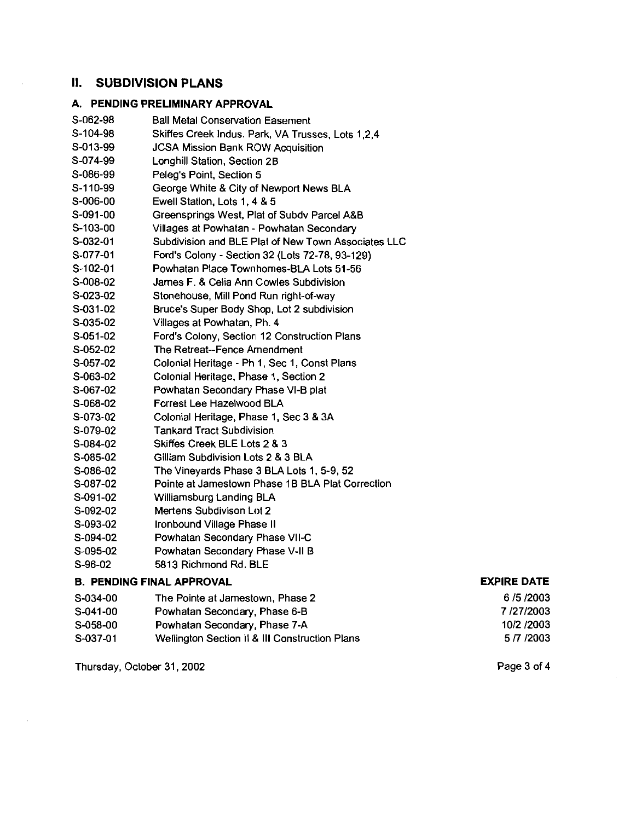## **II. SUBDIVISION PLANS**

### A. PENDING PRELIMINARY APPROVAL

| S-062-98 | <b>Ball Metal Conservation Easement</b>             |
|----------|-----------------------------------------------------|
| S-104-98 | Skiffes Creek Indus. Park, VA Trusses, Lots 1,2,4   |
| S-013-99 | <b>JCSA Mission Bank ROW Acquisition</b>            |
| S-074-99 | Longhill Station, Section 2B                        |
| S-086-99 | Peleg's Point, Section 5                            |
| S-110-99 | George White & City of Newport News BLA             |
| S-006-00 | Ewell Station, Lots 1, 4 & 5                        |
| S-091-00 | Greensprings West, Plat of Subdy Parcel A&B         |
| S-103-00 | Villages at Powhatan - Powhatan Secondary           |
| S-032-01 | Subdivision and BLE Plat of New Town Associates LLC |
| S-077-01 | Ford's Colony - Section 32 (Lots 72-78, 93-129)     |
| S-102-01 | Powhatan Place Townhomes-BLA Lots 51-56             |
| S-008-02 | James F. & Celia Ann Cowles Subdivision             |
| S-023-02 | Stonehouse, Mill Pond Run right-of-way              |
| S-031-02 | Bruce's Super Body Shop, Lot 2 subdivision          |
| S-035-02 | Villages at Powhatan, Ph. 4                         |
| S-051-02 | Ford's Colony, Sectior 12 Construction Plans        |
| S-052-02 | The Retreat--Fence Amendment                        |
| S-057-02 | Colonial Heritage - Ph 1, Sec 1, Const Plans        |
| S-063-02 | Colonial Heritage, Phase 1, Section 2               |
| S-067-02 | Powhatan Secondary Phase VI-B plat                  |
| S-068-02 | Forrest Lee Hazelwood BLA                           |
| S-073-02 | Colonial Heritage, Phase 1, Sec 3 & 3A              |
| S-079-02 | <b>Tankard Tract Subdivision</b>                    |
| S-084-02 | Skiffes Creek BLE Lots 2 & 3                        |
| S-085-02 | Gilliam Subdivision Lots 2 & 3 BLA                  |
| S-086-02 | The Vineyards Phase 3 BLA Lots 1, 5-9, 52           |
| S-087-02 | Pointe at Jamestown Phase 1B BLA Plat Correction    |
| S-091-02 | Williamsburg Landing BLA                            |
| S-092-02 | Mertens Subdivison Lot 2                            |
| S-093-02 | Ironbound Village Phase II                          |
| S-094-02 | Powhatan Secondary Phase VII-C                      |
|          |                                                     |

- S-095-02 Powhatan Secondary Phase V-ll B
- S-96-02 5813 Richmond Rd. BLE

#### B. PENDING FINAL APPROVAL

### EXPIRE DATE

| S-034-00 | The Pointe at Jamestown, Phase 2               | 6/5/2003   |
|----------|------------------------------------------------|------------|
| S-041-00 | Powhatan Secondary, Phase 6-B                  | 7/27/2003  |
| S-058-00 | Powhatan Secondary, Phase 7-A                  | 10/2 /2003 |
| S-037-01 | Wellington Section II & III Construction Plans | 5 /7 /2003 |

Thursday, October 31.2002

Page 3 of 4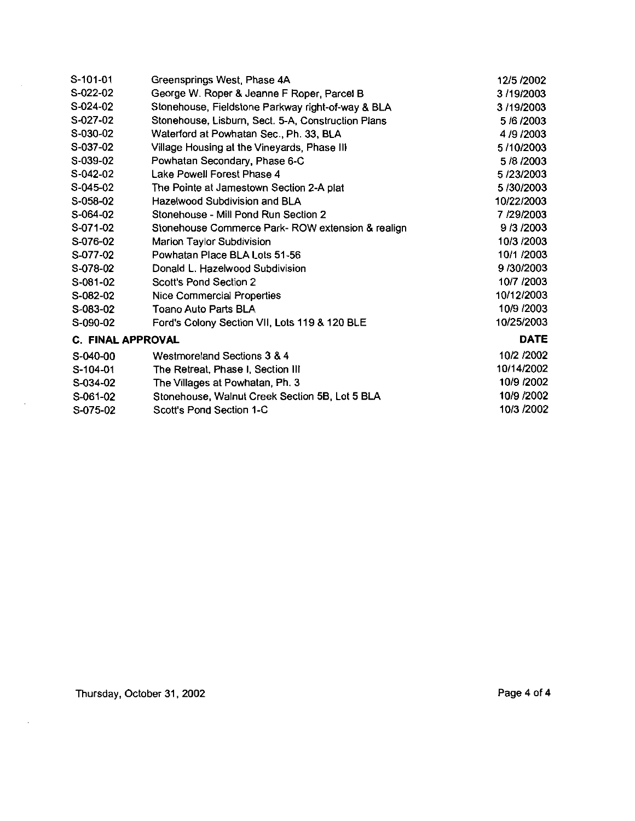| S-101-01                 | Greensprings West, Phase 4A                             | 12/5 /2002  |  |
|--------------------------|---------------------------------------------------------|-------------|--|
| S-022-02                 | George W. Roper & Jeanne F Roper, Parcel B<br>3/19/2003 |             |  |
| S-024-02                 | Stonehouse, Fieldstone Parkway right-of-way & BLA       | 3/19/2003   |  |
| S-027-02                 | Stonehouse, Lisburn, Sect. 5-A, Construction Plans      | 5/6/2003    |  |
| S-030-02                 | Waterford at Powhatan Sec., Ph. 33, BLA                 | 4/9/2003    |  |
| S-037-02                 | Village Housing at the Vineyards, Phase III             | 5/10/2003   |  |
| S-039-02                 | Powhatan Secondary, Phase 6-C                           | 5/8/2003    |  |
| S-042-02                 | Lake Powell Forest Phase 4                              | 5/23/2003   |  |
| $S-045-02$               | The Pointe at Jamestown Section 2-A plat                | 5/30/2003   |  |
| S-058-02                 | Hazelwood Subdivision and BLA                           | 10/22/2003  |  |
| S-064-02                 | Stonehouse - Mill Pond Run Section 2                    | 7/29/2003   |  |
| S-071-02                 | Stonehouse Commerce Park-ROW extension & realign        | 9/3/2003    |  |
| S-076-02                 | <b>Marion Taylor Subdivision</b>                        | 10/3 /2003  |  |
| S-077-02                 | Powhatan Place BLA Lots 51-56                           | 10/1 /2003  |  |
| S-078-02                 | Donald L. Hazelwood Subdivision                         | 9/30/2003   |  |
| S-081-02                 | Scott's Pond Section 2                                  | 10/7 /2003  |  |
| S-082-02                 | Nice Commercial Properties                              | 10/12/2003  |  |
| S-083-02                 | Toano Auto Parts BLA                                    | 10/9 /2003  |  |
| S-090-02                 | Ford's Colony Section VII, Lots 119 & 120 BLE           | 10/25/2003  |  |
| <b>C. FINAL APPROVAL</b> |                                                         | <b>DATE</b> |  |
| S-040-00                 | Westmoreland Sections 3 & 4                             | 10/2 /2002  |  |
| S-104-01                 | The Retreat, Phase I, Section III                       | 10/14/2002  |  |
| S-034-02                 | The Villages at Powhatan, Ph. 3                         | 10/9 /2002  |  |
| S-061-02                 | Stonehouse, Walnut Creek Section 5B, Lot 5 BLA          | 10/9 /2002  |  |
| S-075-02                 | Scott's Pond Section 1-C                                | 10/3 /2002  |  |

 $\sim 10$ 

 $\mathcal{A}^{\mathcal{A}}$